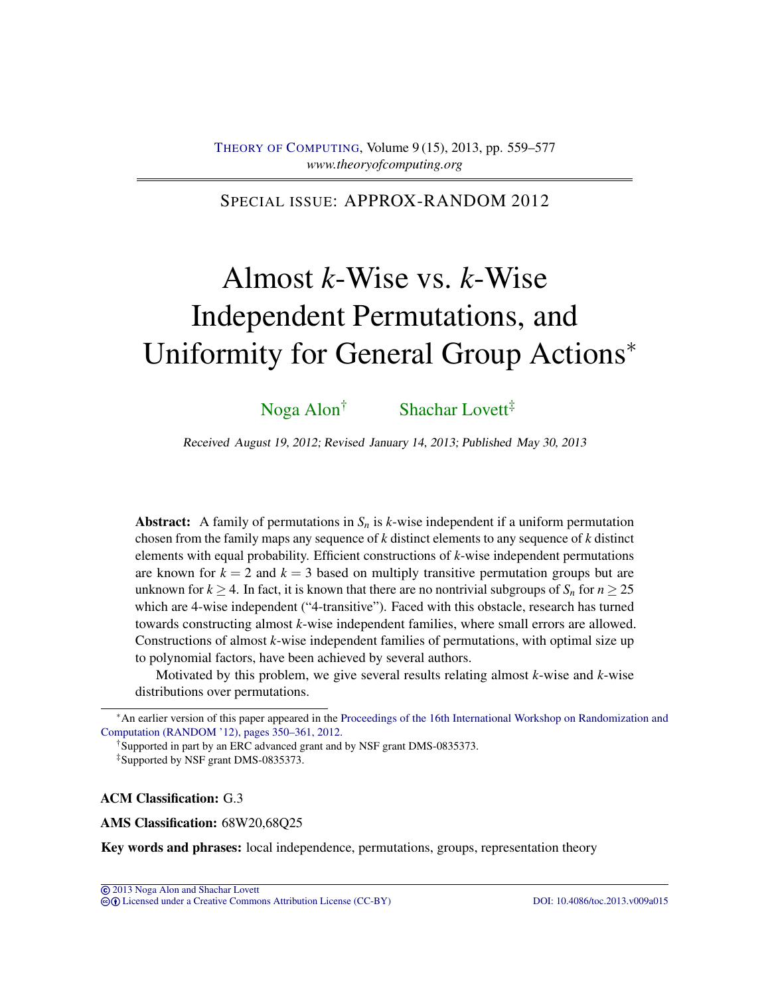## SPECIAL ISSUE: APPROX-RANDOM 2012

# Almost *k*-Wise vs. *k*-Wise Independent Permutations, and Uniformity for General Group Actions<sup>∗</sup>

# [Noga Alon](#page-18-0)† [Shachar Lovett](#page-18-1)‡

Received August 19, 2012; Revised January 14, 2013; Published May 30, 2013

**Abstract:** A family of permutations in  $S_n$  is  $k$ -wise independent if a uniform permutation chosen from the family maps any sequence of *k* distinct elements to any sequence of *k* distinct elements with equal probability. Efficient constructions of *k*-wise independent permutations are known for  $k = 2$  and  $k = 3$  based on multiply transitive permutation groups but are unknown for  $k \geq 4$ . In fact, it is known that there are no nontrivial subgroups of  $S_n$  for  $n \geq 25$ which are 4-wise independent ("4-transitive"). Faced with this obstacle, research has turned towards constructing almost *k*-wise independent families, where small errors are allowed. Constructions of almost *k*-wise independent families of permutations, with optimal size up to polynomial factors, have been achieved by several authors.

Motivated by this problem, we give several results relating almost *k*-wise and *k*-wise distributions over permutations.

†Supported in part by an ERC advanced grant and by NSF grant DMS-0835373.

‡Supported by NSF grant DMS-0835373.

#### ACM Classification: G.3

AMS Classification: 68W20,68Q25

Key words and phrases: local independence, permutations, groups, representation theory

cb [Licensed under a Creative Commons Attribution License \(CC-BY\)](http://creativecommons.org/licenses/by/3.0/) [DOI: 10.4086/toc.2013.v009a015](http://dx.doi.org/10.4086/toc.2013.v009a015)

<sup>∗</sup>An earlier version of this paper appeared in the [Proceedings of the 16th International Workshop on Randomization and](http://dx.doi.org/10.1007/978-3-642-32512-0_30) [Computation \(RANDOM '12\), pages 350–361, 2012.](http://dx.doi.org/10.1007/978-3-642-32512-0_30)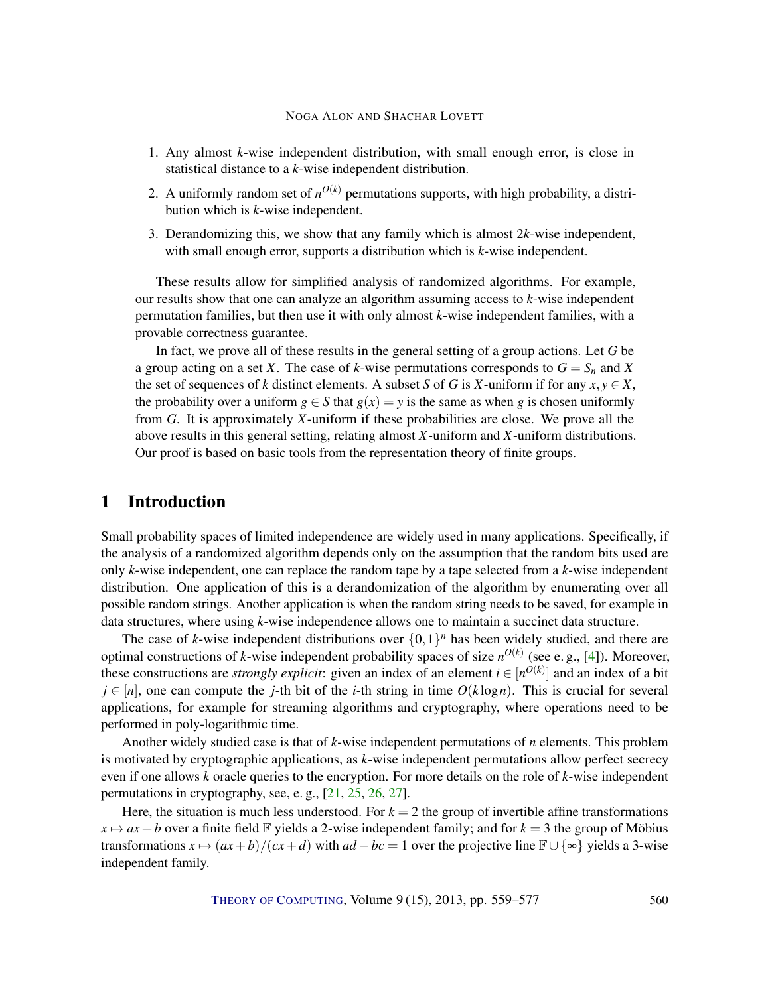- <span id="page-1-0"></span>1. Any almost *k*-wise independent distribution, with small enough error, is close in statistical distance to a *k*-wise independent distribution.
- 2. A uniformly random set of  $n^{O(k)}$  permutations supports, with high probability, a distribution which is *k*-wise independent.
- 3. Derandomizing this, we show that any family which is almost 2*k*-wise independent, with small enough error, supports a distribution which is *k*-wise independent.

These results allow for simplified analysis of randomized algorithms. For example, our results show that one can analyze an algorithm assuming access to *k*-wise independent permutation families, but then use it with only almost *k*-wise independent families, with a provable correctness guarantee.

In fact, we prove all of these results in the general setting of a group actions. Let *G* be a group acting on a set *X*. The case of *k*-wise permutations corresponds to  $G = S_n$  and *X* the set of sequences of *k* distinct elements. A subset *S* of *G* is *X*-uniform if for any  $x, y \in X$ , the probability over a uniform  $g \in S$  that  $g(x) = y$  is the same as when g is chosen uniformly from *G*. It is approximately *X*-uniform if these probabilities are close. We prove all the above results in this general setting, relating almost *X*-uniform and *X*-uniform distributions. Our proof is based on basic tools from the representation theory of finite groups.

## 1 Introduction

Small probability spaces of limited independence are widely used in many applications. Specifically, if the analysis of a randomized algorithm depends only on the assumption that the random bits used are only *k*-wise independent, one can replace the random tape by a tape selected from a *k*-wise independent distribution. One application of this is a derandomization of the algorithm by enumerating over all possible random strings. Another application is when the random string needs to be saved, for example in data structures, where using *k*-wise independence allows one to maintain a succinct data structure.

The case of *k*-wise independent distributions over  $\{0,1\}^n$  has been widely studied, and there are optimal constructions of *k*-wise independent probability spaces of size  $n^{O(k)}$  (see e.g., [\[4\]](#page-16-0)). Moreover, these constructions are *strongly explicit*: given an index of an element  $i \in [n^{O(k)}]$  and an index of a bit  $j \in [n]$ , one can compute the *j*-th bit of the *i*-th string in time  $O(k \log n)$ . This is crucial for several applications, for example for streaming algorithms and cryptography, where operations need to be performed in poly-logarithmic time.

Another widely studied case is that of *k*-wise independent permutations of *n* elements. This problem is motivated by cryptographic applications, as *k*-wise independent permutations allow perfect secrecy even if one allows *k* oracle queries to the encryption. For more details on the role of *k*-wise independent permutations in cryptography, see, e. g., [\[21,](#page-17-0) [25,](#page-17-1) [26,](#page-18-2) [27\]](#page-18-3).

Here, the situation is much less understood. For  $k = 2$  the group of invertible affine transformations  $x \mapsto ax + b$  over a finite field F yields a 2-wise independent family; and for  $k = 3$  the group of Möbius transformations  $x \mapsto (ax+b)/(cx+d)$  with  $ad-bc=1$  over the projective line  $\mathbb{F} \cup {\infty}$  yields a 3-wise independent family.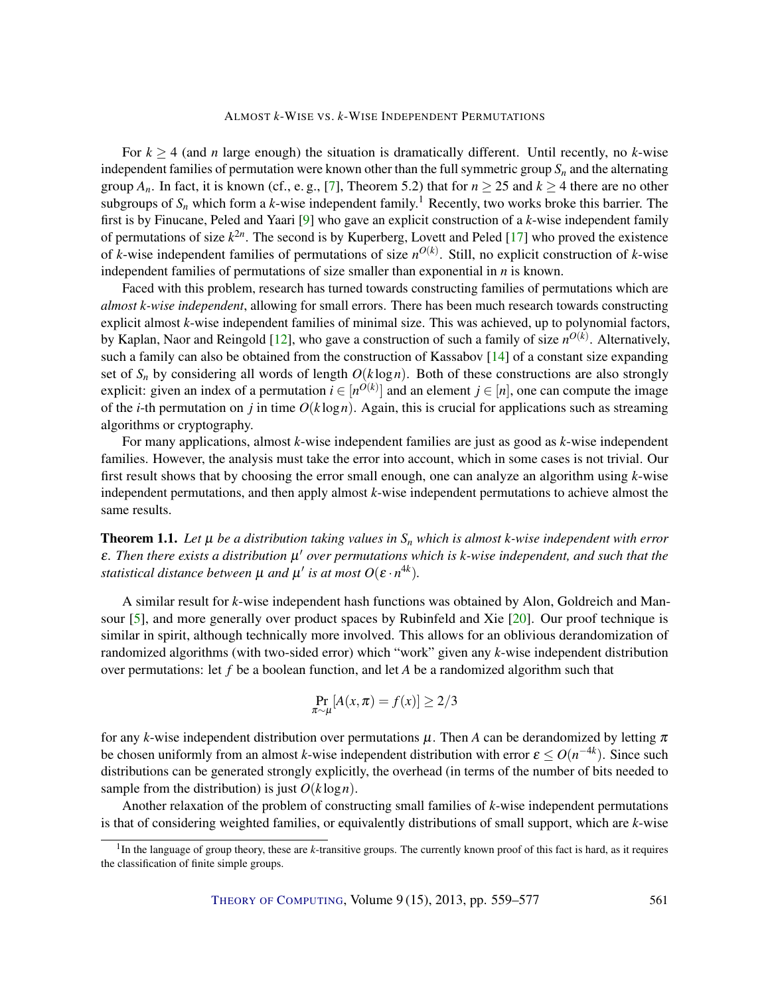<span id="page-2-1"></span>For  $k \geq 4$  (and *n* large enough) the situation is dramatically different. Until recently, no *k*-wise independent families of permutation were known other than the full symmetric group  $S_n$  and the alternating group  $A_n$ . In fact, it is known (cf., e.g., [\[7\]](#page-16-1), Theorem 5.2) that for  $n \ge 25$  and  $k \ge 4$  there are no other subgroups of  $S_n$  which form a *k*-wise independent family.<sup>1</sup> Recently, two works broke this barrier. The first is by Finucane, Peled and Yaari [\[9\]](#page-16-2) who gave an explicit construction of a *k*-wise independent family of permutations of size *k* 2*n* . The second is by Kuperberg, Lovett and Peled [\[17\]](#page-17-2) who proved the existence of *k*-wise independent families of permutations of size  $n^{O(k)}$ . Still, no explicit construction of *k*-wise independent families of permutations of size smaller than exponential in *n* is known.

Faced with this problem, research has turned towards constructing families of permutations which are *almost k-wise independent*, allowing for small errors. There has been much research towards constructing explicit almost *k*-wise independent families of minimal size. This was achieved, up to polynomial factors, by Kaplan, Naor and Reingold [\[12\]](#page-16-3), who gave a construction of such a family of size *n O*(*k*) . Alternatively, such a family can also be obtained from the construction of Kassabov [\[14\]](#page-17-3) of a constant size expanding set of  $S_n$  by considering all words of length  $O(k \log n)$ . Both of these constructions are also strongly explicit: given an index of a permutation  $i \in [n^{O(k)}]$  and an element  $j \in [n]$ , one can compute the image of the *i*-th permutation on *j* in time  $O(k \log n)$ . Again, this is crucial for applications such as streaming algorithms or cryptography.

For many applications, almost *k*-wise independent families are just as good as *k*-wise independent families. However, the analysis must take the error into account, which in some cases is not trivial. Our first result shows that by choosing the error small enough, one can analyze an algorithm using *k*-wise independent permutations, and then apply almost *k*-wise independent permutations to achieve almost the same results.

<span id="page-2-0"></span>**Theorem 1.1.** Let  $\mu$  be a distribution taking values in  $S_n$  which is almost *k*-wise independent with error ε*. Then there exists a distribution* µ <sup>0</sup> *over permutations which is k-wise independent, and such that the statistical distance between*  $\mu$  *and*  $\mu'$  *is at most*  $O(\varepsilon \cdot n^{4k})$ *.* 

A similar result for *k*-wise independent hash functions was obtained by Alon, Goldreich and Mansour [\[5\]](#page-16-4), and more generally over product spaces by Rubinfeld and Xie [\[20\]](#page-17-4). Our proof technique is similar in spirit, although technically more involved. This allows for an oblivious derandomization of randomized algorithms (with two-sided error) which "work" given any *k*-wise independent distribution over permutations: let *f* be a boolean function, and let *A* be a randomized algorithm such that

$$
\Pr_{\pi \sim \mu}[A(x, \pi) = f(x)] \ge 2/3
$$

for any *k*-wise independent distribution over permutations  $\mu$ . Then *A* can be derandomized by letting  $\pi$ be chosen uniformly from an almost *k*-wise independent distribution with error  $\varepsilon \le O(n^{-4k})$ . Since such distributions can be generated strongly explicitly, the overhead (in terms of the number of bits needed to sample from the distribution) is just  $O(k \log n)$ .

Another relaxation of the problem of constructing small families of *k*-wise independent permutations is that of considering weighted families, or equivalently distributions of small support, which are *k*-wise

<sup>&</sup>lt;sup>1</sup>In the language of group theory, these are *k*-transitive groups. The currently known proof of this fact is hard, as it requires the classification of finite simple groups.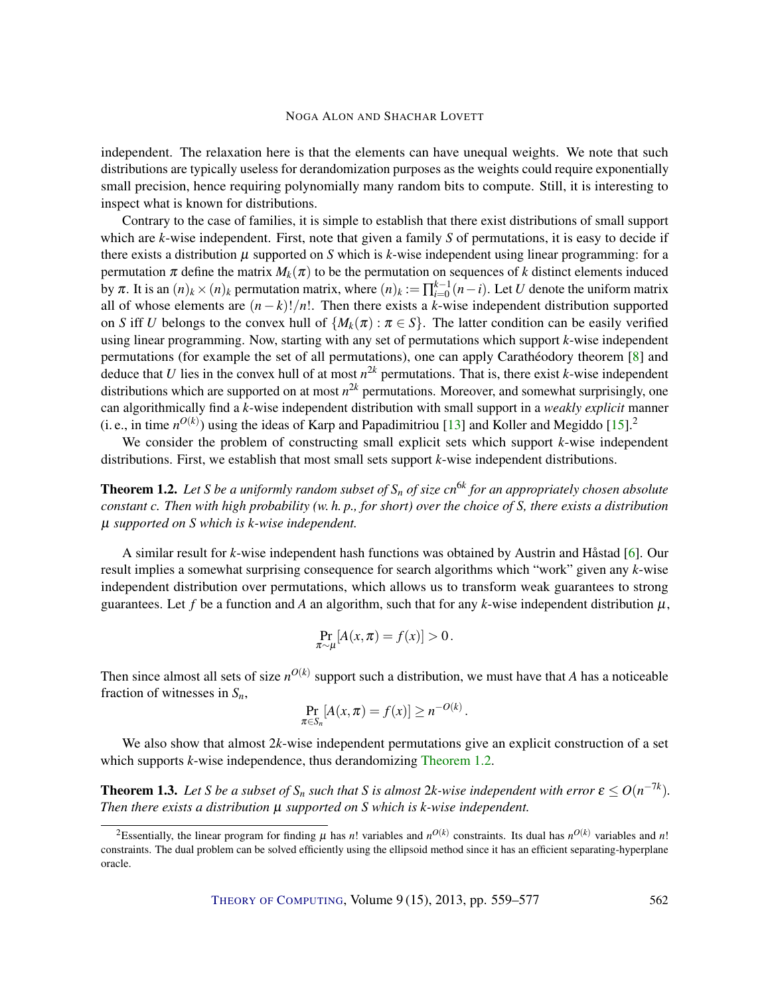<span id="page-3-2"></span>independent. The relaxation here is that the elements can have unequal weights. We note that such distributions are typically useless for derandomization purposes as the weights could require exponentially small precision, hence requiring polynomially many random bits to compute. Still, it is interesting to inspect what is known for distributions.

Contrary to the case of families, it is simple to establish that there exist distributions of small support which are *k*-wise independent. First, note that given a family *S* of permutations, it is easy to decide if there exists a distribution  $\mu$  supported on *S* which is *k*-wise independent using linear programming: for a permutation  $\pi$  define the matrix  $M_k(\pi)$  to be the permutation on sequences of k distinct elements induced by  $\pi$ . It is an  $(n)_k \times (n)_k$  permutation matrix, where  $(n)_k := \prod_{i=0}^{k-1} (n-i)$ . Let *U* denote the uniform matrix all of whose elements are  $(n - k)!/n!$ . Then there exists a *k*-wise independent distribution supported on *S* iff *U* belongs to the convex hull of  $\{M_k(\pi): \pi \in S\}$ . The latter condition can be easily verified using linear programming. Now, starting with any set of permutations which support *k*-wise independent permutations (for example the set of all permutations), one can apply Carathéodory theorem [\[8\]](#page-16-5) and deduce that *U* lies in the convex hull of at most *n* <sup>2</sup>*<sup>k</sup>* permutations. That is, there exist *k*-wise independent distributions which are supported on at most *n* <sup>2</sup>*<sup>k</sup>* permutations. Moreover, and somewhat surprisingly, one can algorithmically find a *k*-wise independent distribution with small support in a *weakly explicit* manner (i. e., in time  $n^{O(k)}$ ) using the ideas of Karp and Papadimitriou [\[13\]](#page-17-5) and Koller and Megiddo [\[15\]](#page-17-6).<sup>2</sup>

We consider the problem of constructing small explicit sets which support *k*-wise independent distributions. First, we establish that most small sets support *k*-wise independent distributions.

<span id="page-3-0"></span>Theorem 1.2. *Let S be a uniformly random subset of S<sup>n</sup> of size cn*6*<sup>k</sup> for an appropriately chosen absolute constant c. Then with high probability (w. h. p., for short) over the choice of S, there exists a distribution* µ *supported on S which is k-wise independent.*

A similar result for *k*-wise independent hash functions was obtained by Austrin and Håstad [\[6\]](#page-16-6). Our result implies a somewhat surprising consequence for search algorithms which "work" given any *k*-wise independent distribution over permutations, which allows us to transform weak guarantees to strong guarantees. Let f be a function and A an algorithm, such that for any  $k$ -wise independent distribution  $\mu$ ,

$$
\Pr_{\pi \sim \mu}[A(x,\pi) = f(x)] > 0.
$$

Then since almost all sets of size  $n^{O(k)}$  support such a distribution, we must have that *A* has a noticeable fraction of witnesses in *Sn*,

$$
\Pr_{\pi \in S_n} [A(x, \pi) = f(x)] \ge n^{-O(k)}.
$$

We also show that almost 2*k*-wise independent permutations give an explicit construction of a set which supports *k*-wise independence, thus derandomizing [Theorem](#page-3-0) [1.2.](#page-3-0)

<span id="page-3-1"></span>**Theorem 1.3.** Let S be a subset of  $S_n$  such that S is almost 2k-wise independent with error  $\varepsilon \le O(n^{-7k})$ . *Then there exists a distribution* µ *supported on S which is k-wise independent.*

<sup>&</sup>lt;sup>2</sup>Essentially, the linear program for finding  $\mu$  has *n*! variables and  $n^{O(k)}$  constraints. Its dual has  $n^{O(k)}$  variables and *n*! constraints. The dual problem can be solved efficiently using the ellipsoid method since it has an efficient separating-hyperplane oracle.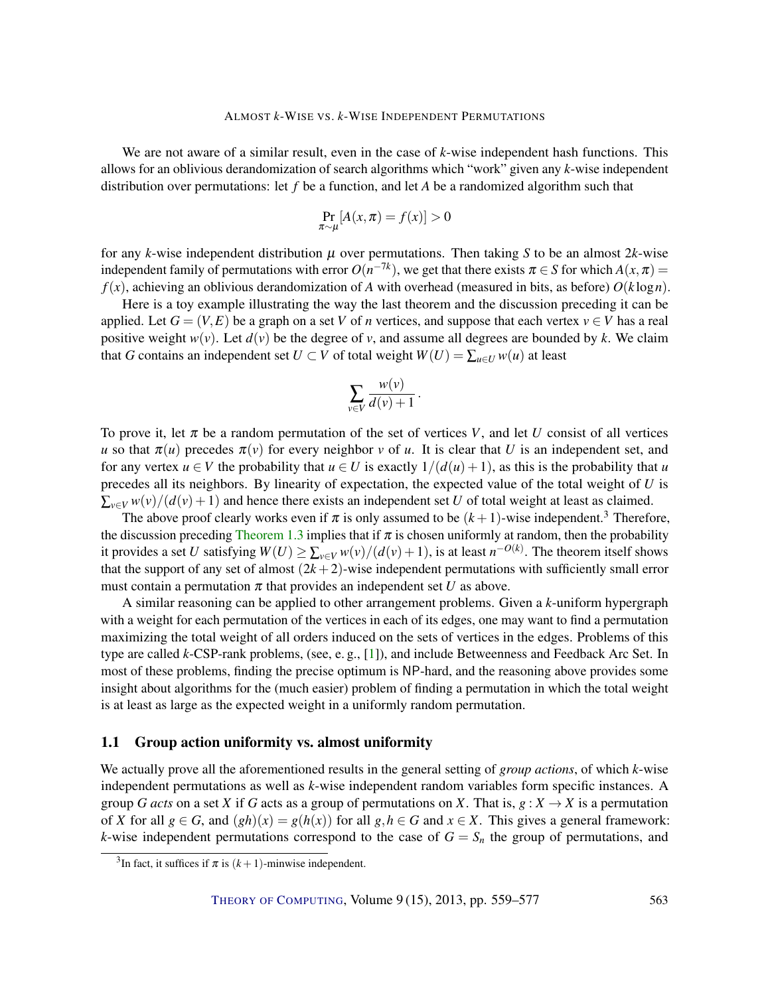<span id="page-4-0"></span>We are not aware of a similar result, even in the case of *k*-wise independent hash functions. This allows for an oblivious derandomization of search algorithms which "work" given any *k*-wise independent distribution over permutations: let *f* be a function, and let *A* be a randomized algorithm such that

$$
\Pr_{\pi \sim \mu}[A(x, \pi) = f(x)] > 0
$$

for any *k*-wise independent distribution  $\mu$  over permutations. Then taking *S* to be an almost 2*k*-wise independent family of permutations with error  $O(n^{-7k})$ , we get that there exists  $\pi \in S$  for which  $A(x, \pi) =$  $f(x)$ , achieving an oblivious derandomization of *A* with overhead (measured in bits, as before)  $O(k \log n)$ .

Here is a toy example illustrating the way the last theorem and the discussion preceding it can be applied. Let  $G = (V, E)$  be a graph on a set *V* of *n* vertices, and suppose that each vertex  $v \in V$  has a real positive weight  $w(v)$ . Let  $d(v)$  be the degree of v, and assume all degrees are bounded by k. We claim that *G* contains an independent set  $U \subset V$  of total weight  $W(U) = \sum_{u \in U} w(u)$  at least

$$
\sum_{v \in V} \frac{w(v)}{d(v)+1}.
$$

To prove it, let  $\pi$  be a random permutation of the set of vertices *V*, and let *U* consist of all vertices *u* so that  $\pi(u)$  precedes  $\pi(v)$  for every neighbor *v* of *u*. It is clear that *U* is an independent set, and for any vertex  $u \in V$  the probability that  $u \in U$  is exactly  $1/(d(u) + 1)$ , as this is the probability that *u* precedes all its neighbors. By linearity of expectation, the expected value of the total weight of *U* is  $\sum_{v \in V} w(v)/(d(v)+1)$  and hence there exists an independent set *U* of total weight at least as claimed.

The above proof clearly works even if  $\pi$  is only assumed to be  $(k+1)$ -wise independent.<sup>3</sup> Therefore, the discussion preceding [Theorem](#page-3-1) [1.3](#page-3-1) implies that if  $\pi$  is chosen uniformly at random, then the probability it provides a set *U* satisfying  $W(U) \ge \sum_{v \in V} w(v)/(d(v)+1)$ , is at least  $n^{-O(k)}$ . The theorem itself shows that the support of any set of almost  $(2k+2)$ -wise independent permutations with sufficiently small error must contain a permutation  $\pi$  that provides an independent set *U* as above.

A similar reasoning can be applied to other arrangement problems. Given a *k*-uniform hypergraph with a weight for each permutation of the vertices in each of its edges, one may want to find a permutation maximizing the total weight of all orders induced on the sets of vertices in the edges. Problems of this type are called *k*-CSP-rank problems, (see, e. g., [\[1\]](#page-16-7)), and include Betweenness and Feedback Arc Set. In most of these problems, finding the precise optimum is NP-hard, and the reasoning above provides some insight about algorithms for the (much easier) problem of finding a permutation in which the total weight is at least as large as the expected weight in a uniformly random permutation.

#### 1.1 Group action uniformity vs. almost uniformity

We actually prove all the aforementioned results in the general setting of *group actions*, of which *k*-wise independent permutations as well as *k*-wise independent random variables form specific instances. A group *G acts* on a set *X* if *G* acts as a group of permutations on *X*. That is,  $g: X \to X$  is a permutation of *X* for all  $g \in G$ , and  $(gh)(x) = g(h(x))$  for all  $g, h \in G$  and  $x \in X$ . This gives a general framework: *k*-wise independent permutations correspond to the case of  $G = S_n$  the group of permutations, and

<sup>&</sup>lt;sup>3</sup>In fact, it suffices if  $\pi$  is  $(k+1)$ -minwise independent.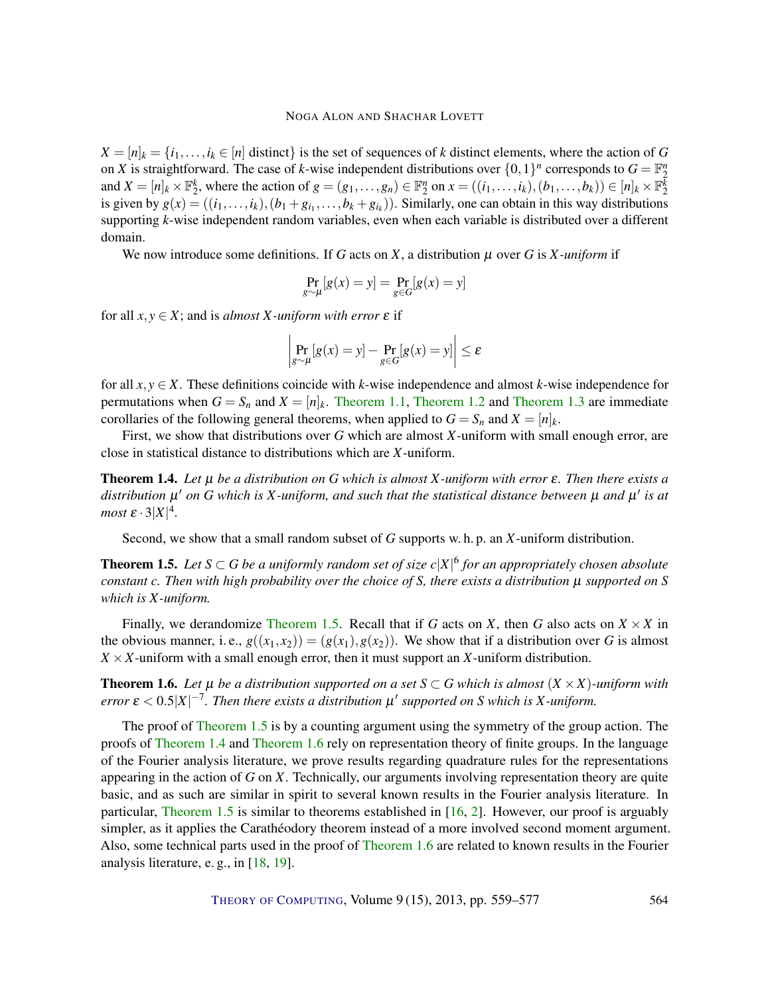<span id="page-5-3"></span> $X = [n]_k = \{i_1, \ldots, i_k \in [n]$  distinct} is the set of sequences of *k* distinct elements, where the action of *G* on *X* is straightforward. The case of *k*-wise independent distributions over  $\{0,1\}^n$  corresponds to  $G = \mathbb{F}_2^n$ and  $X = [n]_k \times \mathbb{F}_2^k$ , where the action of  $g = (g_1, \ldots, g_n) \in \mathbb{F}_2^n$  on  $x = ((i_1, \ldots, i_k), (b_1, \ldots, b_k)) \in [n]_k \times \mathbb{F}_2^k$ is given by  $g(x) = ((i_1, \ldots, i_k), (b_1 + g_{i_1}, \ldots, b_k + g_{i_k}))$ . Similarly, one can obtain in this way distributions supporting *k*-wise independent random variables, even when each variable is distributed over a different domain.

We now introduce some definitions. If *G* acts on *X*, a distribution µ over *G* is *X -uniform* if

$$
\Pr_{g \sim \mu}[g(x) = y] = \Pr_{g \in G}[g(x) = y]
$$

for all  $x, y \in X$ ; and is *almost X-uniform with error*  $\varepsilon$  if

$$
\left|\Pr_{g \sim \mu}[g(x) = y] - \Pr_{g \in G}[g(x) = y]\right| \le \varepsilon
$$

for all  $x, y \in X$ . These definitions coincide with *k*-wise independence and almost *k*-wise independence for permutations when  $G = S_n$  and  $X = [n]_k$ . [Theorem](#page-3-1) [1.1,](#page-2-0) Theorem [1.2](#page-3-0) and Theorem [1.3](#page-3-1) are immediate corollaries of the following general theorems, when applied to  $G = S_n$  and  $X = [n]_k$ .

First, we show that distributions over *G* which are almost *X*-uniform with small enough error, are close in statistical distance to distributions which are *X*-uniform.

<span id="page-5-1"></span>Theorem 1.4. *Let* µ *be a distribution on G which is almost X-uniform with error* ε*. Then there exists a* distribution  $\mu'$  on G which is X-uniform, and such that the statistical distance between  $\mu$  and  $\mu'$  is at *most*  $\varepsilon \cdot 3|X|^4$ .

Second, we show that a small random subset of *G* supports w. h. p. an *X*-uniform distribution.

<span id="page-5-0"></span>**Theorem 1.5.** Let  $S \subset G$  be a uniformly random set of size  $c|X|^6$  for an appropriately chosen absolute *constant c. Then with high probability over the choice of S, there exists a distribution* µ *supported on S which is X -uniform.*

Finally, we derandomize [Theorem](#page-5-0) [1.5.](#page-5-0) Recall that if *G* acts on *X*, then *G* also acts on  $X \times X$  in the obvious manner, i.e.,  $g((x_1, x_2)) = (g(x_1), g(x_2))$ . We show that if a distribution over *G* is almost  $X \times X$ -uniform with a small enough error, then it must support an *X*-uniform distribution.

<span id="page-5-2"></span>**Theorem 1.6.** Let  $\mu$  be a distribution supported on a set  $S \subset G$  which is almost  $(X \times X)$ -uniform with *error*  $\varepsilon < 0.5 |X|^{-7}$ . Then there exists a distribution  $\mu'$  supported on S which is X-uniform.

The proof of [Theorem](#page-5-0) [1.5](#page-5-0) is by a counting argument using the symmetry of the group action. The proofs of [Theorem](#page-5-1) [1.4](#page-5-1) and [Theorem](#page-5-2) [1.6](#page-5-2) rely on representation theory of finite groups. In the language of the Fourier analysis literature, we prove results regarding quadrature rules for the representations appearing in the action of *G* on *X*. Technically, our arguments involving representation theory are quite basic, and as such are similar in spirit to several known results in the Fourier analysis literature. In particular, [Theorem](#page-5-0) [1.5](#page-5-0) is similar to theorems established in [\[16,](#page-17-7) [2\]](#page-16-8). However, our proof is arguably simpler, as it applies the Carathéodory theorem instead of a more involved second moment argument. Also, some technical parts used in the proof of [Theorem](#page-5-2) [1.6](#page-5-2) are related to known results in the Fourier analysis literature, e. g., in [\[18,](#page-17-8) [19\]](#page-17-9).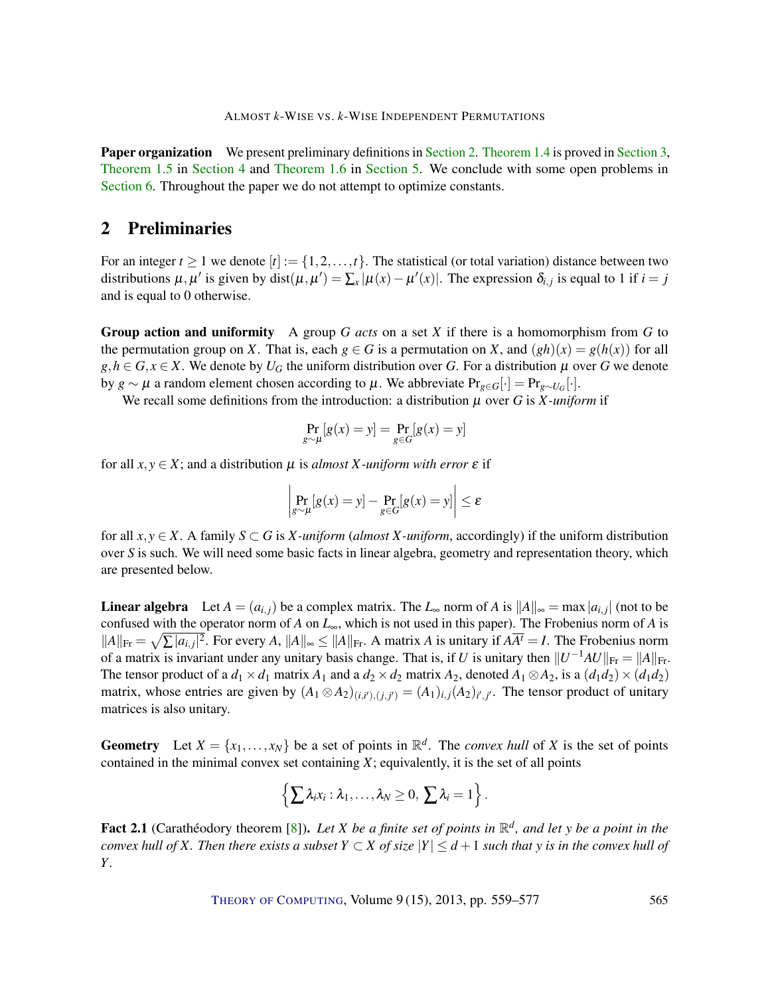<span id="page-6-1"></span>Paper organization We present preliminary definitions in [Section](#page-6-0) [2.](#page-6-0) [Theorem](#page-5-1) [1.4](#page-5-1) is proved in [Section](#page-8-0) [3,](#page-8-0) [Theorem](#page-5-0) [1.5](#page-5-0) in [Section](#page-11-0) [4](#page-11-0) and [Theorem](#page-5-2) [1.6](#page-5-2) in [Section](#page-12-0) [5.](#page-12-0) We conclude with some open problems in [Section](#page-15-0) [6.](#page-15-0) Throughout the paper we do not attempt to optimize constants.

## <span id="page-6-0"></span>2 Preliminaries

For an integer  $t \ge 1$  we denote  $[t] := \{1, 2, ..., t\}$ . The statistical (or total variation) distance between two distributions  $\mu, \mu'$  is given by dist $(\mu, \mu') = \sum_x |\mu(x) - \mu'(x)|$ . The expression  $\delta_{i,j}$  is equal to 1 if  $i = j$ and is equal to 0 otherwise.

Group action and uniformity A group *G acts* on a set *X* if there is a homomorphism from *G* to the permutation group on *X*. That is, each  $g \in G$  is a permutation on *X*, and  $(gh)(x) = g(h(x))$  for all  $g, h \in G, x \in X$ . We denote by  $U_G$  the uniform distribution over *G*. For a distribution  $\mu$  over *G* we denote by *g* ∼ *μ* a random element chosen according to *μ*. We abbreviate  $Pr_{g ∈ G}[\cdot] = Pr_{g ∼ U_G}[\cdot]$ .

We recall some definitions from the introduction: a distribution  $\mu$  over *G* is *X*-uniform if

$$
\Pr_{g \sim \mu}[g(x) = y] = \Pr_{g \in G}[g(x) = y]
$$

for all  $x, y \in X$ ; and a distribution  $\mu$  is *almost X-uniform with error*  $\varepsilon$  if

$$
\left| \Pr_{g \sim \mu}[g(x) = y] - \Pr_{g \in G}[g(x) = y] \right| \le \varepsilon
$$

for all  $x, y \in X$ . A family  $S \subset G$  is *X-uniform* (*almost X-uniform*, accordingly) if the uniform distribution over *S* is such. We will need some basic facts in linear algebra, geometry and representation theory, which are presented below.

**Linear algebra** Let  $A = (a_{i,j})$  be a complex matrix. The  $L_{\infty}$  norm of  $A$  is  $||A||_{\infty} = \max |a_{i,j}|$  (not to be confused with the operator norm of *A* on *L*∞, which is not used in this paper). The Frobenius norm of *A* is  $||A||_{\text{Fr}} = \sqrt{\sum |a_{i,j}|^2}$ . For every *A*,  $||A||_{\infty} \le ||A||_{\text{Fr}}$ . A matrix *A* is unitary if  $A\overline{A'} = I$ . The Frobenius norm of a matrix is invariant under any unitary basis change. That is, if *U* is unitary then  $||U^{-1}AU||_{\text{Fr}} = ||A||_{\text{Fr}}$ . The tensor product of a  $d_1 \times d_1$  matrix  $A_1$  and a  $d_2 \times d_2$  matrix  $A_2$ , denoted  $A_1 \otimes A_2$ , is a  $(d_1 d_2) \times (d_1 d_2)$ matrix, whose entries are given by  $(A_1 \otimes A_2)_{(i,i'),(j,j')} = (A_1)_{i,j}(A_2)_{i',j'}$ . The tensor product of unitary matrices is also unitary.

Geometry Let  $X = \{x_1, \ldots, x_N\}$  be a set of points in  $\mathbb{R}^d$ . The *convex hull* of *X* is the set of points contained in the minimal convex set containing *X*; equivalently, it is the set of all points

$$
\left\{\sum \lambda_i x_i: \lambda_1,\ldots,\lambda_N\geq 0, \sum \lambda_i=1\right\}.
$$

Fact 2.1 (Carathéodory theorem [\[8\]](#page-16-5)). Let *X* be a finite set of points in  $\mathbb{R}^d$ , and let *y* be a point in the *convex hull of X. Then there exists a subset*  $Y \subset X$  *of size*  $|Y| \leq d+1$  *such that y is in the convex hull of Y .*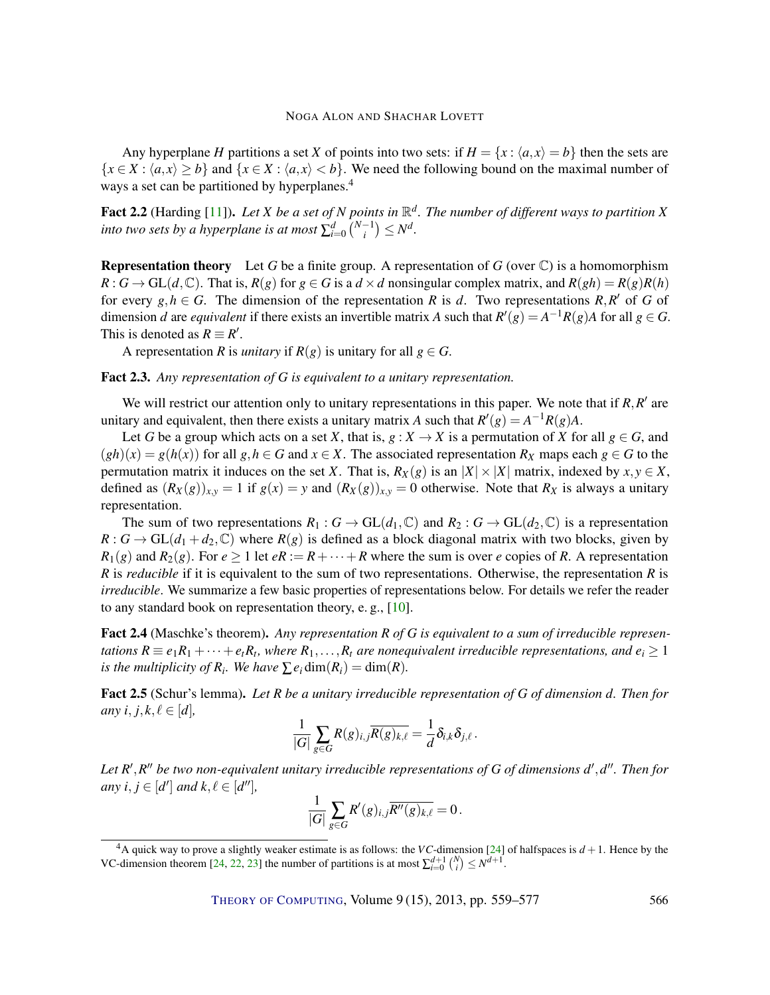<span id="page-7-1"></span>Any hyperplane *H* partitions a set *X* of points into two sets: if  $H = \{x : \langle a, x \rangle = b\}$  then the sets are  ${x \in X : (a, x) \ge b}$  and  ${x \in X : (a, x) < b}$ . We need the following bound on the maximal number of ways a set can be partitioned by hyperplanes.<sup>4</sup>

<span id="page-7-0"></span>Fact 2.2 (Harding [\[11\]](#page-16-9)). Let *X* be a set of *N* points in  $\mathbb{R}^d$ . The number of different ways to partition *X into two sets by a hyperplane is at most*  $\sum_{i=0}^{d} {N-1 \choose i}$  $\binom{-1}{i} \leq N^d$ .

Representation theory Let *G* be a finite group. A representation of *G* (over C) is a homomorphism  $R: G \to GL(d, \mathbb{C})$ . That is,  $R(g)$  for  $g \in G$  is a  $d \times d$  nonsingular complex matrix, and  $R(gh) = R(g)R(h)$ for every  $g, h \in G$ . The dimension of the representation *R* is *d*. Two representations *R*,*R'* of *G* of dimension *d* are *equivalent* if there exists an invertible matrix *A* such that  $R'(g) = A^{-1}R(g)A$  for all  $g \in G$ . This is denoted as  $R \equiv R'$ .

A representation *R* is *unitary* if  $R(g)$  is unitary for all  $g \in G$ .

Fact 2.3. *Any representation of G is equivalent to a unitary representation.*

We will restrict our attention only to unitary representations in this paper. We note that if  $R$ ,  $R'$  are unitary and equivalent, then there exists a unitary matrix *A* such that  $R'(g) = A^{-1}R(g)A$ .

Let *G* be a group which acts on a set *X*, that is,  $g : X \to X$  is a permutation of *X* for all  $g \in G$ , and  $(gh)(x) = g(h(x))$  for all  $g, h \in G$  and  $x \in X$ . The associated representation  $R_X$  maps each  $g \in G$  to the permutation matrix it induces on the set *X*. That is,  $R_X(g)$  is an  $|X| \times |X|$  matrix, indexed by  $x, y \in X$ , defined as  $(R_X(g))_{x,y} = 1$  if  $g(x) = y$  and  $(R_X(g))_{x,y} = 0$  otherwise. Note that  $R_X$  is always a unitary representation.

The sum of two representations  $R_1: G \to GL(d_1, \mathbb{C})$  and  $R_2: G \to GL(d_2, \mathbb{C})$  is a representation  $R: G \to GL(d_1 + d_2, \mathbb{C})$  where  $R(g)$  is defined as a block diagonal matrix with two blocks, given by  $R_1(g)$  and  $R_2(g)$ . For  $e \ge 1$  let  $eR := R + \cdots + R$  where the sum is over *e* copies of *R*. A representation *R* is *reducible* if it is equivalent to the sum of two representations. Otherwise, the representation *R* is *irreducible*. We summarize a few basic properties of representations below. For details we refer the reader to any standard book on representation theory, e. g., [\[10\]](#page-16-10).

Fact 2.4 (Maschke's theorem). *Any representation R of G is equivalent to a sum of irreducible representations*  $R \equiv e_1R_1 + \cdots + e_tR_t$ , where  $R_1, \ldots, R_t$  are nonequivalent irreducible representations, and  $e_i \geq 1$ *is the multiplicity of*  $R_i$ *. We have*  $\sum e_i \dim(R_i) = \dim(R)$ .

Fact 2.5 (Schur's lemma). *Let R be a unitary irreducible representation of G of dimension d. Then for any*  $i, j, k, \ell \in [d]$ ,

$$
\frac{1}{|G|}\sum_{g\in G}R(g)_{i,j}\overline{R(g)_{k,\ell}}=\frac{1}{d}\delta_{i,k}\delta_{j,\ell}.
$$

Let R<sup>'</sup>, R<sup>"</sup> be two non-equivalent unitary irreducible representations of G of dimensions d', d". Then for *any*  $i, j \in [d']$  *and*  $k, \ell \in [d'']$ *,* 

$$
\frac{1}{|G|}\sum_{g\in G}R'(g)_{i,j}\overline{R''(g)_{k,\ell}}=0.
$$

 $4A$  quick way to prove a slightly weaker estimate is as follows: the *VC*-dimension [\[24\]](#page-17-10) of halfspaces is  $d+1$ . Hence by the VC-dimension theorem [\[24,](#page-17-10) [22,](#page-17-11) [23\]](#page-17-12) the number of partitions is at most  $\sum_{i=0}^{d+1} {N \choose i} \leq N^{d+1}$ .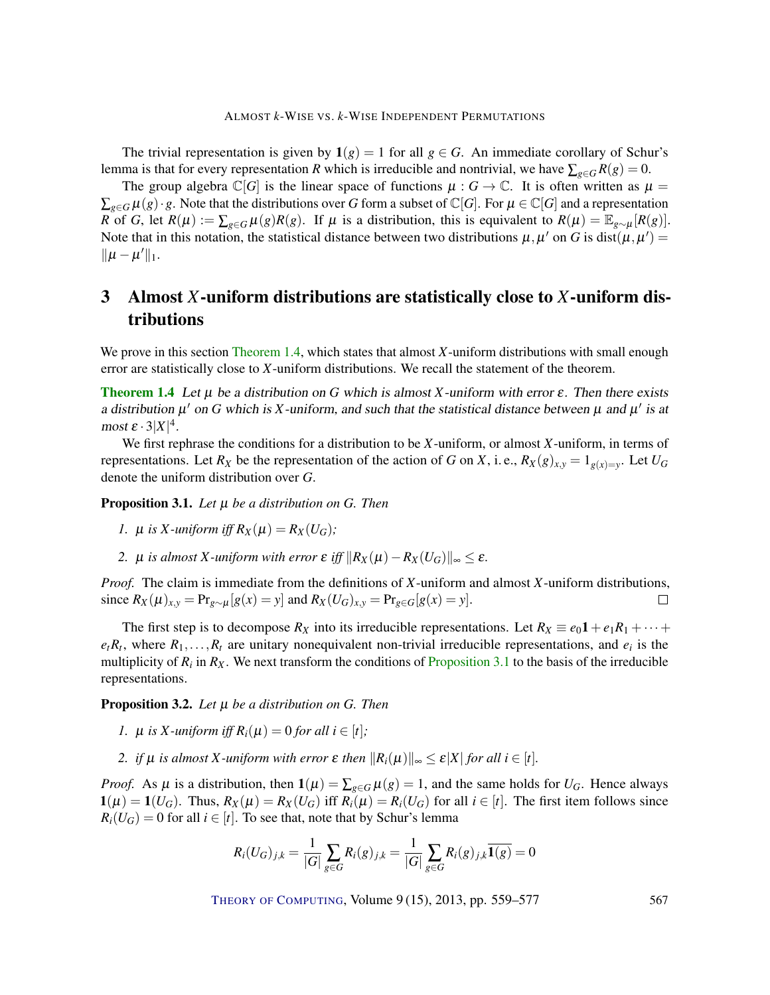The trivial representation is given by  $1(g) = 1$  for all  $g \in G$ . An immediate corollary of Schur's lemma is that for every representation *R* which is irreducible and nontrivial, we have  $\sum_{g \in G} R(g) = 0$ .

The group algebra  $\mathbb{C}[G]$  is the linear space of functions  $\mu : G \to \mathbb{C}$ . It is often written as  $\mu =$  $\sum_{g \in G} \mu(g) \cdot g$ . Note that the distributions over *G* form a subset of  $\mathbb{C}[G]$ . For  $\mu \in \mathbb{C}[G]$  and a representation *R* of *G*, let  $R(\mu) := \sum_{g \in G} \mu(g) R(g)$ . If  $\mu$  is a distribution, this is equivalent to  $R(\mu) = \mathbb{E}_{g \sim \mu}[R(g)]$ . Note that in this notation, the statistical distance between two distributions  $\mu, \mu'$  on G is dist $(\mu, \mu') =$  $\|\mu - \mu'\|_1$ .

## <span id="page-8-0"></span>3 Almost *X*-uniform distributions are statistically close to *X*-uniform distributions

We prove in this section [Theorem](#page-5-1) [1.4,](#page-5-1) which states that almost *X*-uniform distributions with small enough error are statistically close to *X*-uniform distributions. We recall the statement of the theorem.

**[Theorem](#page-5-1) [1.4](#page-5-1)** Let  $\mu$  be a distribution on G which is almost X-uniform with error  $\varepsilon$ . Then there exists a distribution  $\mu'$  on G which is X-uniform, and such that the statistical distance between  $\mu$  and  $\mu'$  is at most  $\varepsilon \cdot 3|X|^4$ .

We first rephrase the conditions for a distribution to be *X*-uniform, or almost *X*-uniform, in terms of representations. Let  $R_X$  be the representation of the action of *G* on *X*, i.e.,  $R_X(g)_{x,y} = 1_{g(x)=y}$ . Let  $U_G$ denote the uniform distribution over *G*.

<span id="page-8-1"></span>Proposition 3.1. *Let* µ *be a distribution on G. Then*

- *1.*  $\mu$  *is X*-*uniform iff*  $R_X(\mu) = R_X(U_G)$ ;
- *2.*  $\mu$  *is almost X-uniform with error*  $\varepsilon$  *iff*  $\|R_X(\mu) R_X(U_G)\|_{\infty} \leq \varepsilon$ .

*Proof.* The claim is immediate from the definitions of *X*-uniform and almost *X*-uniform distributions, since  $R_X(\mu)_{x,y} = \Pr_{g \sim \mu}[g(x) = y]$  and  $R_X(U_G)_{x,y} = \Pr_{g \in G}[g(x) = y]$ .  $\Box$ 

The first step is to decompose  $R_X$  into its irreducible representations. Let  $R_X \equiv e_0 \mathbf{1} + e_1 R_1 + \cdots$  $e_iR_i$ , where  $R_1, \ldots, R_t$  are unitary nonequivalent non-trivial irreducible representations, and  $e_i$  is the multiplicity of  $R_i$  in  $R_X$ . We next transform the conditions of [Proposition](#page-8-1) [3.1](#page-8-1) to the basis of the irreducible representations.

<span id="page-8-2"></span>Proposition 3.2. *Let* µ *be a distribution on G. Then*

- *1.*  $\mu$  *is X*-uniform iff  $R_i(\mu) = 0$  for all  $i \in [t]$ ;
- *2. if*  $\mu$  *is almost X*-uniform with error  $\varepsilon$  *then*  $||R_i(\mu)||_{\infty} \leq \varepsilon |X|$  *for all i* ∈ [*t*]*.*

*Proof.* As  $\mu$  is a distribution, then  $\mathbf{1}(\mu) = \sum_{g \in G} \mu(g) = 1$ , and the same holds for  $U_G$ . Hence always  $1(\mu) = 1(U_G)$ . Thus,  $R_X(\mu) = R_X(U_G)$  iff  $R_i(\mu) = R_i(U_G)$  for all  $i \in [t]$ . The first item follows since  $R_i(U_G) = 0$  for all  $i \in [t]$ . To see that, note that by Schur's lemma

$$
R_i(U_G)_{j,k} = \frac{1}{|G|} \sum_{g \in G} R_i(g)_{j,k} = \frac{1}{|G|} \sum_{g \in G} R_i(g)_{j,k} \overline{\mathbf{1}(g)} = 0
$$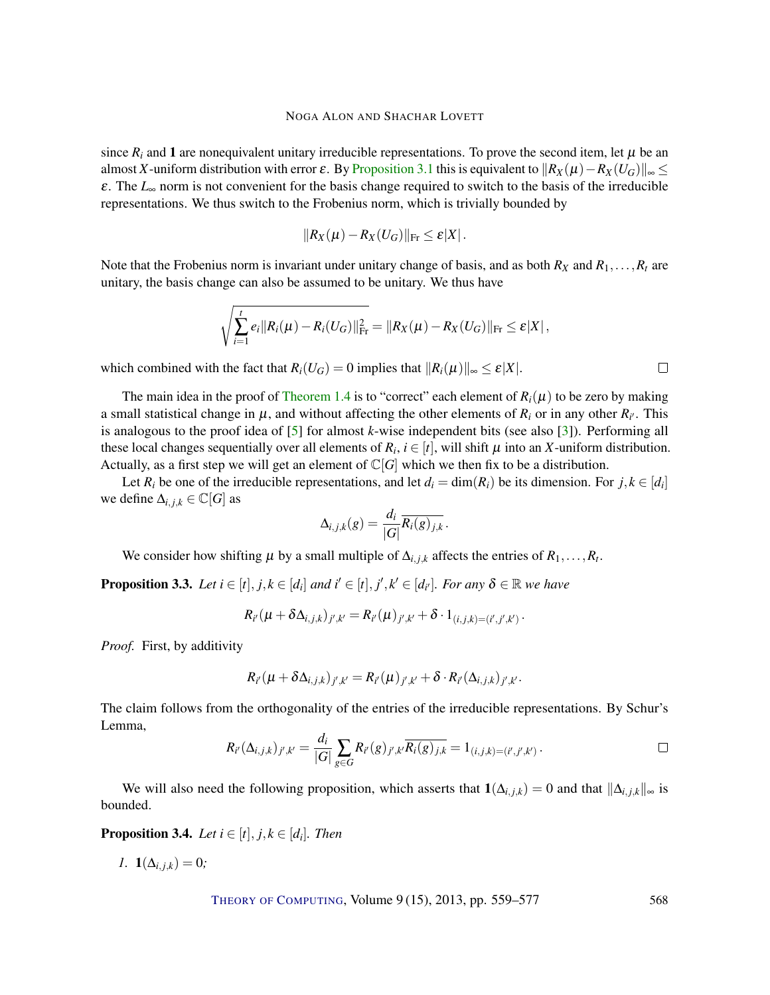<span id="page-9-2"></span>since  $R_i$  and 1 are nonequivalent unitary irreducible representations. To prove the second item, let  $\mu$  be an almost *X*-uniform distribution with error  $\varepsilon$ . By [Proposition](#page-8-1) [3.1](#page-8-1) this is equivalent to  $\|R_X(\mu) - R_X(U_G)\|_{\infty} \le$ ε. The *L*<sup>∞</sup> norm is not convenient for the basis change required to switch to the basis of the irreducible representations. We thus switch to the Frobenius norm, which is trivially bounded by

$$
||R_X(\mu)-R_X(U_G)||_{\text{Fr}}\leq \varepsilon|X|.
$$

Note that the Frobenius norm is invariant under unitary change of basis, and as both  $R_X$  and  $R_1, \ldots, R_t$  are unitary, the basis change can also be assumed to be unitary. We thus have

$$
\sqrt{\sum_{i=1}^t e_i \|R_i(\mu) - R_i(U_G)\|_{\text{Fr}}^2} = \|R_X(\mu) - R_X(U_G)\|_{\text{Fr}} \leq \varepsilon |X|,
$$

which combined with the fact that  $R_i(U_G) = 0$  implies that  $||R_i(\mu)||_{\infty} \leq \varepsilon |X|$ .

The main idea in the proof of [Theorem](#page-5-1) [1.4](#page-5-1) is to "correct" each element of  $R_i(\mu)$  to be zero by making a small statistical change in  $\mu$ , and without affecting the other elements of  $R_i$  or in any other  $R_{i'}$ . This is analogous to the proof idea of [\[5\]](#page-16-4) for almost *k*-wise independent bits (see also [\[3\]](#page-16-11)). Performing all these local changes sequentially over all elements of  $R_i$ ,  $i \in [t]$ , will shift  $\mu$  into an *X*-uniform distribution. Actually, as a first step we will get an element of  $\mathbb{C}[G]$  which we then fix to be a distribution.

Let  $R_i$  be one of the irreducible representations, and let  $d_i = \dim(R_i)$  be its dimension. For  $j, k \in [d_i]$ we define  $\Delta_{i,j,k} \in \mathbb{C}[G]$  as

$$
\Delta_{i,j,k}(g) = \frac{d_i}{|G|} \overline{R_i(g)_{j,k}}.
$$

We consider how shifting  $\mu$  by a small multiple of  $\Delta_{i,j,k}$  affects the entries of  $R_1, \ldots, R_t$ .

<span id="page-9-0"></span>**Proposition 3.3.** Let  $i \in [t], j, k \in [d_i]$  and  $i' \in [t], j', k' \in [d_{i'}]$ . For any  $\delta \in \mathbb{R}$  we have

$$
R_{i'}(\mu + \delta \Delta_{i,j,k})_{j',k'} = R_{i'}(\mu)_{j',k'} + \delta \cdot 1_{(i,j,k)=(i',j',k')}.
$$

*Proof.* First, by additivity

$$
R_{i'}(\mu+\delta\Delta_{i,j,k})_{j',k'}=R_{i'}(\mu)_{j',k'}+\delta\cdot R_{i'}(\Delta_{i,j,k})_{j',k'}.
$$

The claim follows from the orthogonality of the entries of the irreducible representations. By Schur's Lemma,

$$
R_{i'}(\Delta_{i,j,k})_{j',k'} = \frac{d_i}{|G|} \sum_{g \in G} R_{i'}(g)_{j',k'} \overline{R_i(g)_{j,k}} = 1_{(i,j,k)=(i',j',k')}.
$$

We will also need the following proposition, which asserts that  $1(\Delta_{i,j,k}) = 0$  and that  $\|\Delta_{i,j,k}\|_{\infty}$  is bounded.

<span id="page-9-1"></span>**Proposition 3.4.** *Let*  $i \in [t], j, k \in [d_i]$ *. Then* 

$$
l. \mathbf{1}(\Delta_{i,j,k})=0;
$$

THEORY OF C[OMPUTING](http://dx.doi.org/10.4086/toc), Volume 9(15), 2013, pp. 559-577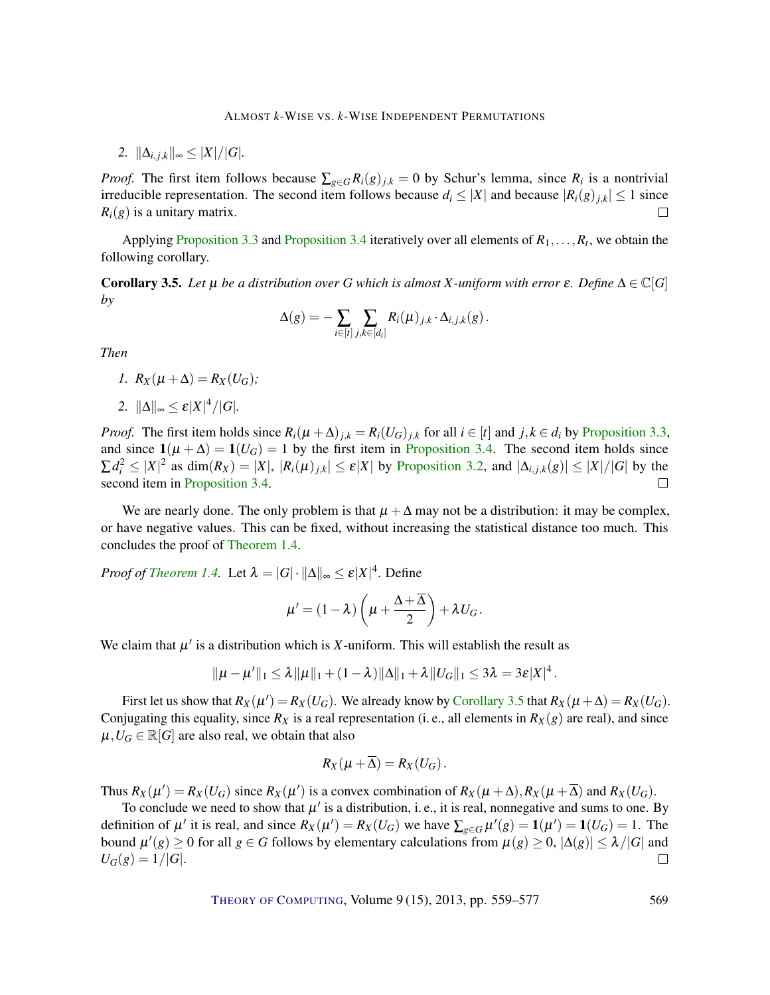*2.*  $\|\Delta_{i,j,k}\|_{\infty} \leq |X|/|G|$ .

*Proof.* The first item follows because  $\sum_{g \in G} R_i(g)_{j,k} = 0$  by Schur's lemma, since  $R_i$  is a nontrivial irreducible representation. The second item follows because  $d_i \leq |X|$  and because  $|R_i(g)|_{j,k}| \leq 1$  since  $R_i(g)$  is a unitary matrix.  $\Box$ 

Applying [Proposition](#page-9-1) [3.3](#page-9-0) and Proposition [3.4](#page-9-1) iteratively over all elements of  $R_1, \ldots, R_t$ , we obtain the following corollary.

<span id="page-10-0"></span>**Corollary 3.5.** Let  $\mu$  be a distribution over G which is almost X-uniform with error  $\varepsilon$ . Define  $\Delta \in \mathbb{C}[G]$ *by*

$$
\Delta(g) = -\sum_{i \in [t]} \sum_{j,k \in [d_i]} R_i(\mu)_{j,k} \cdot \Delta_{i,j,k}(g).
$$

*Then*

$$
I. R_X(\mu + \Delta) = R_X(U_G);
$$

2.  $\|\Delta\|_{\infty} \leq \varepsilon |X|^4 / |G|.$ 

*Proof.* The first item holds since  $R_i(\mu + \Delta)_{j,k} = R_i(U_G)_{j,k}$  for all  $i \in [t]$  and  $j, k \in d_i$  by [Proposition](#page-9-0) [3.3,](#page-9-0) and since  $1(\mu + \Delta) = 1(U_G) = 1$  by the first item in [Proposition](#page-9-1) [3.4.](#page-9-1) The second item holds since  $\sum d_i^2 \leq |X|^2$  as  $\dim(R_X) = |X|, |R_i(\mu)_{j,k}| \leq \varepsilon |X|$  by [Proposition](#page-8-2) [3.2,](#page-8-2) and  $|\Delta_{i,j,k}(g)| \leq |X|/|G|$  by the second item in [Proposition](#page-9-1) [3.4.](#page-9-1)  $\Box$ 

We are nearly done. The only problem is that  $\mu + \Delta$  may not be a distribution: it may be complex, or have negative values. This can be fixed, without increasing the statistical distance too much. This concludes the proof of [Theorem](#page-5-1) [1.4.](#page-5-1)

*Proof of [Theorem](#page-5-1) [1.4.](#page-5-1)* Let  $\lambda = |G| \cdot ||\Delta||_{\infty} \le \varepsilon |X|^4$ . Define

$$
\mu' = (1 - \lambda) \left( \mu + \frac{\Delta + \overline{\Delta}}{2} \right) + \lambda U_G.
$$

We claim that  $\mu'$  is a distribution which is *X*-uniform. This will establish the result as

$$
\|\mu-\mu'\|_1 \leq \lambda \|\mu\|_1 + (1-\lambda) \|\Delta\|_1 + \lambda \|U_G\|_1 \leq 3\lambda = 3\varepsilon |X|^4.
$$

First let us show that  $R_X(\mu') = R_X(U_G)$ . We already know by [Corollary](#page-10-0) [3.5](#page-10-0) that  $R_X(\mu + \Delta) = R_X(U_G)$ . Conjugating this equality, since  $R_X$  is a real representation (i. e., all elements in  $R_X(g)$  are real), and since  $\mu$ ,  $U_G \in \mathbb{R}[G]$  are also real, we obtain that also

$$
R_X(\mu+\Delta)=R_X(U_G).
$$

Thus  $R_X(\mu') = R_X(U_G)$  since  $R_X(\mu')$  is a convex combination of  $R_X(\mu + \Delta), R_X(\mu + \overline{\Delta})$  and  $R_X(U_G)$ .

To conclude we need to show that  $\mu'$  is a distribution, i. e., it is real, nonnegative and sums to one. By definition of  $\mu'$  it is real, and since  $R_X(\mu') = R_X(U_G)$  we have  $\sum_{g \in G} \mu'(g) = \mathbf{1}(\mu') = \mathbf{1}(U_G) = 1$ . The bound  $\mu'(g) \ge 0$  for all  $g \in G$  follows by elementary calculations from  $\mu(g) \ge 0$ ,  $|\Delta(g)| \le \lambda/|G|$  and  $U_G(g) = 1/|G|$ .  $\Box$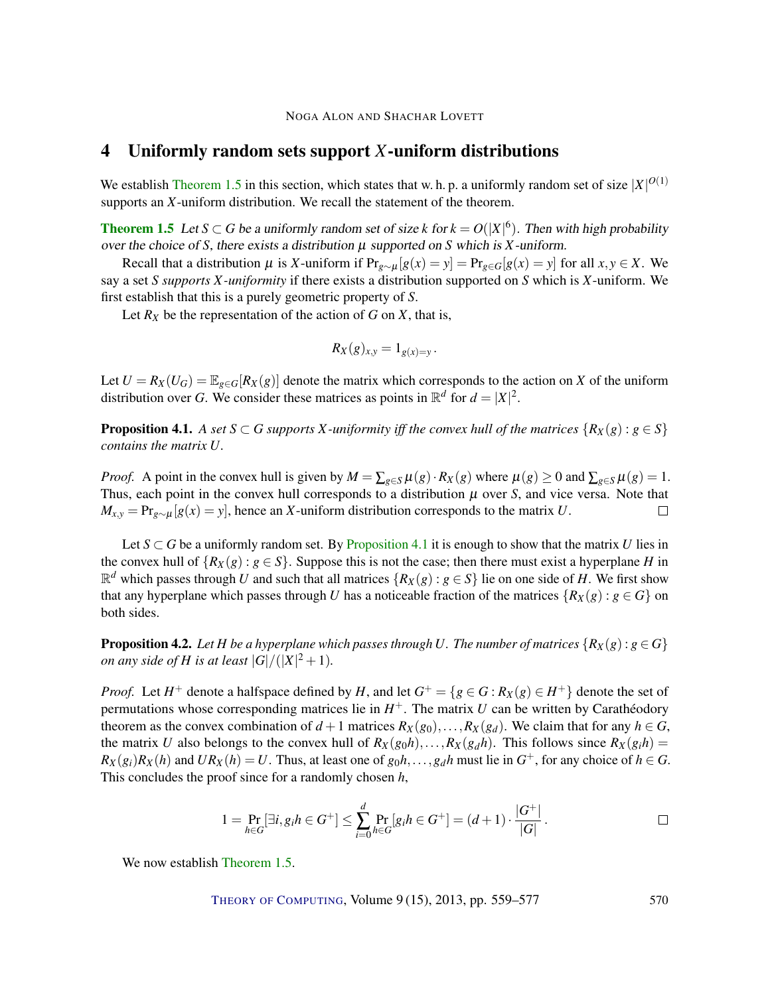## <span id="page-11-0"></span>4 Uniformly random sets support *X*-uniform distributions

We establish [Theorem](#page-5-0) [1.5](#page-5-0) in this section, which states that w. h. p. a uniformly random set of size  $|X|^{O(1)}$ supports an *X*-uniform distribution. We recall the statement of the theorem.

**[Theorem](#page-5-0) [1.5](#page-5-0)** Let  $S \subset G$  be a uniformly random set of size k for  $k = O(|X|^6)$ . Then with high probability over the choice of *S*, there exists a distribution  $\mu$  supported on *S* which is *X*-uniform.

Recall that a distribution  $\mu$  is *X*-uniform if  $Pr_{g \sim \mu}[g(x) = y] = Pr_{g \in G}[g(x) = y]$  for all  $x, y \in X$ . We say a set *S supports X-uniformity* if there exists a distribution supported on *S* which is *X*-uniform. We first establish that this is a purely geometric property of *S*.

Let  $R_X$  be the representation of the action of  $G$  on  $X$ , that is,

$$
R_X(g)_{x,y}=1_{g(x)=y}.
$$

Let  $U = R_X(U_G) = \mathbb{E}_{g \in G}[R_X(g)]$  denote the matrix which corresponds to the action on *X* of the uniform distribution over *G*. We consider these matrices as points in  $\mathbb{R}^d$  for  $d = |X|^2$ .

<span id="page-11-1"></span>**Proposition 4.1.** *A set*  $S \subset G$  *supports*  $X$ -uniformity iff the convex hull of the matrices  $\{R_X(g) : g \in S\}$ *contains the matrix U.*

*Proof.* A point in the convex hull is given by  $M = \sum_{g \in S} \mu(g) \cdot R_X(g)$  where  $\mu(g) \ge 0$  and  $\sum_{g \in S} \mu(g) = 1$ . Thus, each point in the convex hull corresponds to a distribution  $\mu$  over *S*, and vice versa. Note that  $M_{x,y} = \Pr_{g \sim \mu}[g(x) = y]$ , hence an *X*-uniform distribution corresponds to the matrix *U*.  $\Box$ 

Let  $S \subset G$  be a uniformly random set. By [Proposition](#page-11-1) [4.1](#page-11-1) it is enough to show that the matrix *U* lies in the convex hull of  ${R_X(g) : g \in S}$ . Suppose this is not the case; then there must exist a hyperplane *H* in  $\mathbb{R}^d$  which passes through *U* and such that all matrices  $\{R_X(g) : g \in S\}$  lie on one side of *H*. We first show that any hyperplane which passes through *U* has a noticeable fraction of the matrices  $\{R_X(g) : g \in G\}$  on both sides.

<span id="page-11-2"></span>**Proposition 4.2.** Let *H* be a hyperplane which passes through *U*. The number of matrices  $\{R_X(g) : g \in G\}$ *on any side of H is at least*  $|G|/(|X|^2+1)$ *.* 

*Proof.* Let  $H^+$  denote a halfspace defined by  $H$ , and let  $G^+ = \{g \in G : R_X(g) \in H^+\}$  denote the set of permutations whose corresponding matrices lie in  $H^+$ . The matrix *U* can be written by Carathéodory theorem as the convex combination of  $d+1$  matrices  $R_X(g_0), \ldots, R_X(g_d)$ . We claim that for any  $h \in G$ , the matrix *U* also belongs to the convex hull of  $R_X(g_0h), \ldots, R_X(g_dh)$ . This follows since  $R_X(g_ih)$  =  $R_X(g_i)R_X(h)$  and  $UR_X(h) = U$ . Thus, at least one of  $g_0h, \ldots, g_dh$  must lie in  $G^+$ , for any choice of  $h \in G$ . This concludes the proof since for a randomly chosen *h*,

$$
1 = \Pr_{h \in G}[\exists i, g_i h \in G^+] \le \sum_{i=0}^d \Pr_{h \in G}[g_i h \in G^+] = (d+1) \cdot \frac{|G^+|}{|G|}.
$$

We now establish [Theorem](#page-5-0) [1.5.](#page-5-0)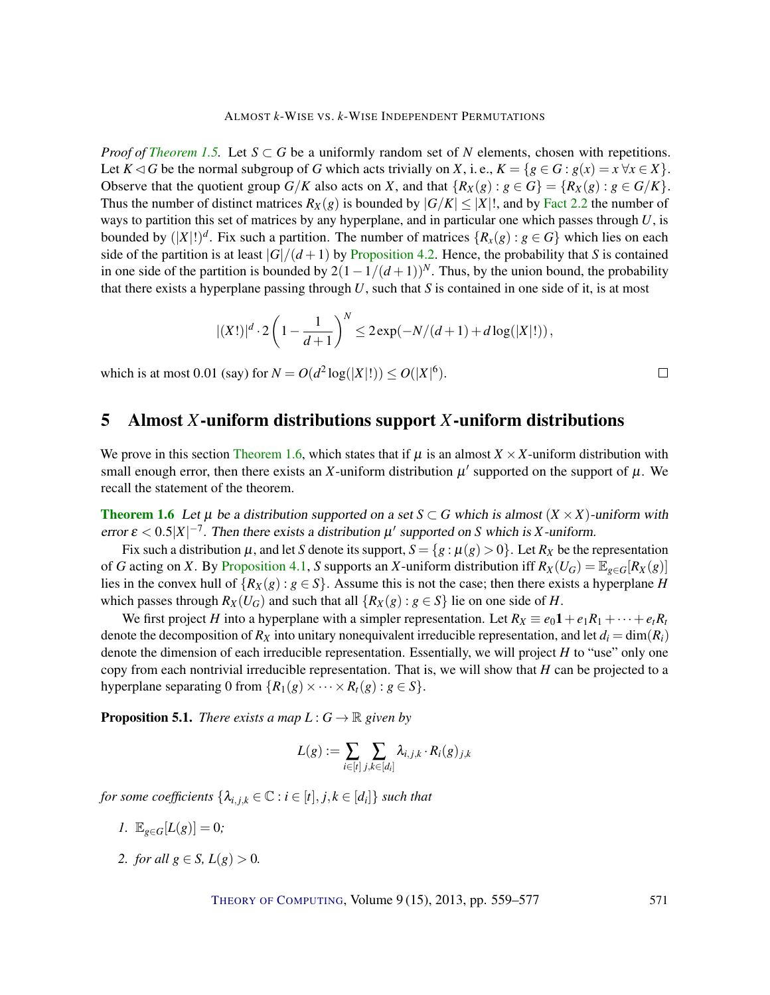*Proof of [Theorem](#page-5-0) [1.5.](#page-5-0)* Let  $S \subset G$  be a uniformly random set of *N* elements, chosen with repetitions. Let  $K \triangleleft G$  be the normal subgroup of *G* which acts trivially on *X*, i.e.,  $K = \{g \in G : g(x) = x \,\forall x \in X\}.$ Observe that the quotient group  $G/K$  also acts on *X*, and that  ${R_X(g) : g \in G} = {R_X(g) : g \in G/K}$ . Thus the number of distinct matrices  $R_X(g)$  is bounded by  $|G/K| \leq |X|!$ , and by [Fact](#page-7-0) [2.2](#page-7-0) the number of ways to partition this set of matrices by any hyperplane, and in particular one which passes through *U*, is bounded by  $(|X|!)^d$ . Fix such a partition. The number of matrices  $\{R_x(g) : g \in G\}$  which lies on each side of the partition is at least  $|G|/(d+1)$  by [Proposition](#page-11-2) [4.2.](#page-11-2) Hence, the probability that *S* is contained in one side of the partition is bounded by  $2(1-1/(d+1))^N$ . Thus, by the union bound, the probability that there exists a hyperplane passing through *U*, such that *S* is contained in one side of it, is at most

$$
|(X!)|^{d} \cdot 2\left(1 - \frac{1}{d+1}\right)^{N} \leq 2\exp(-N/(d+1) + d\log(|X|!)),
$$

which is at most 0.01 (say) for  $N = O(d^2 \log(|X|!)) \leq O(|X|^6)$ .

## <span id="page-12-0"></span>5 Almost *X*-uniform distributions support *X*-uniform distributions

We prove in this section [Theorem](#page-5-2) [1.6,](#page-5-2) which states that if  $\mu$  is an almost  $X \times X$ -uniform distribution with small enough error, then there exists an *X*-uniform distribution  $\mu'$  supported on the support of  $\mu$ . We recall the statement of the theorem.

**[Theorem](#page-5-2) [1.6](#page-5-2)** Let  $\mu$  be a distribution supported on a set *S* ⊂ *G* which is almost (*X* × *X*)-uniform with error  $\varepsilon < 0.5|X|^{-7}$ . Then there exists a distribution  $\mu'$  supported on *S* which is *X*-uniform.

Fix such a distribution  $\mu$ , and let *S* denote its support,  $S = \{g : \mu(g) > 0\}$ . Let  $R_X$  be the representation of *G* acting on *X*. By [Proposition](#page-11-1) [4.1,](#page-11-1) *S* supports an *X*-uniform distribution iff  $R_X(U_G) = \mathbb{E}_{g \in G}[R_X(g)]$ lies in the convex hull of  $\{R_X(g) : g \in S\}$ . Assume this is not the case; then there exists a hyperplane *H* which passes through  $R_X(U_G)$  and such that all  $\{R_X(g) : g \in S\}$  lie on one side of *H*.

We first project *H* into a hyperplane with a simpler representation. Let  $R_X \equiv e_0 \mathbf{1} + e_1 R_1 + \cdots + e_t R_t$ denote the decomposition of  $R_X$  into unitary nonequivalent irreducible representation, and let  $d_i = \dim(R_i)$ denote the dimension of each irreducible representation. Essentially, we will project *H* to "use" only one copy from each nontrivial irreducible representation. That is, we will show that *H* can be projected to a hyperplane separating 0 from  ${R_1(g) \times \cdots \times R_t(g) : g \in S}$ .

**Proposition 5.1.** *There exists a map*  $L: G \to \mathbb{R}$  *given by* 

$$
L(g) := \sum_{i \in [t]} \sum_{j,k \in [d_i]} \lambda_{i,j,k} \cdot R_i(g)_{j,k}
$$

*for some coefficients*  $\{\lambda_{i,j,k} \in \mathbb{C} : i \in [t], j,k \in [d_i]\}$  *such that* 

- *1.*  $\mathbb{E}_{g \in G}[L(g)] = 0;$
- *2. for all*  $g \in S$ ,  $L(g) > 0$ .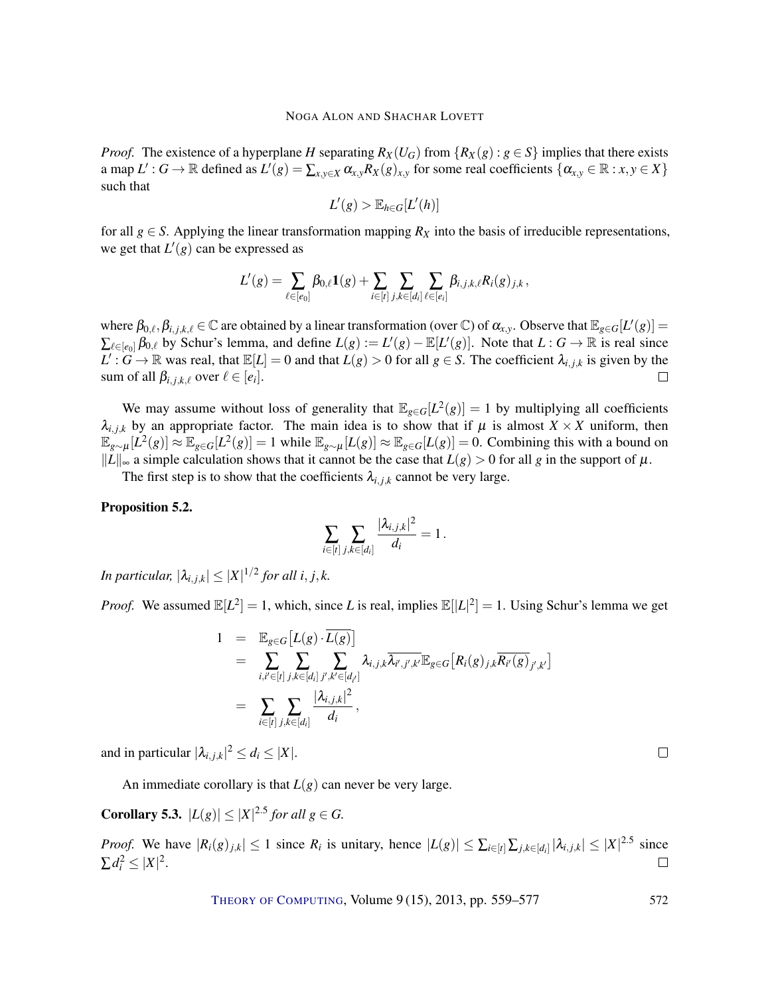*Proof.* The existence of a hyperplane *H* separating  $R_X(U_G)$  from  $\{R_X(g) : g \in S\}$  implies that there exists a map  $L': G \to \mathbb{R}$  defined as  $L'(g) = \sum_{x,y \in X} \alpha_{x,y} R_X(g)_{x,y}$  for some real coefficients  $\{\alpha_{x,y} \in \mathbb{R} : x,y \in X\}$ such that

$$
L'(g) > \mathbb{E}_{h \in G}[L'(h)]
$$

for all  $g \in S$ . Applying the linear transformation mapping  $R_X$  into the basis of irreducible representations, we get that  $L'(g)$  can be expressed as

$$
L'(g) = \sum_{\ell \in [e_0]} \beta_{0,\ell} \mathbf{1}(g) + \sum_{i \in [t]} \sum_{j,k \in [d_i]} \sum_{\ell \in [e_i]} \beta_{i,j,k,\ell} R_i(g)_{j,k},
$$

where  $\beta_{0,\ell}, \beta_{i,j,k,\ell} \in \mathbb{C}$  are obtained by a linear transformation (over  $\mathbb{C}$ ) of  $\alpha_{x,y}$ . Observe that  $\mathbb{E}_{g \in G}[L'(g)] =$  $\sum_{\ell \in [e_0]} \beta_{0,\ell}$  by Schur's lemma, and define  $L(g) := L'(g) - \mathbb{E}[L'(g)]$ . Note that  $L : G \to \mathbb{R}$  is real since  $L': G \to \mathbb{R}$  was real, that  $\mathbb{E}[L] = 0$  and that  $L(g) > 0$  for all  $g \in S$ . The coefficient  $\lambda_{i,j,k}$  is given by the sum of all  $\beta_{i,j,k,\ell}$  over  $\ell \in [e_i]$ .  $\Box$ 

We may assume without loss of generality that  $\mathbb{E}_{g \in G}[L^2(g)] = 1$  by multiplying all coefficients  $\lambda_{i,j,k}$  by an appropriate factor. The main idea is to show that if  $\mu$  is almost  $X \times X$  uniform, then  $\mathbb{E}_{g \sim \mu}[L^2(g)] \approx \mathbb{E}_{g \in G}[L^2(g)] = 1$  while  $\mathbb{E}_{g \sim \mu}[L(g)] \approx \mathbb{E}_{g \in G}[L(g)] = 0$ . Combining this with a bound on  $||L||_{\infty}$  a simple calculation shows that it cannot be the case that  $L(g) > 0$  for all *g* in the support of  $\mu$ .

The first step is to show that the coefficients  $\lambda_{i,j,k}$  cannot be very large.

#### <span id="page-13-0"></span>Proposition 5.2.

$$
\sum_{i \in [t]} \sum_{j,k \in [d_i]} \frac{|\lambda_{i,j,k}|^2}{d_i} = 1.
$$

*In particular,*  $|\lambda_{i,j,k}| \leq |X|^{1/2}$  for all  $i, j, k$ .

*Proof.* We assumed  $\mathbb{E}[L^2] = 1$ , which, since *L* is real, implies  $\mathbb{E}[|L|^2] = 1$ . Using Schur's lemma we get

$$
1 = \mathbb{E}_{g \in G} [L(g) \cdot \overline{L(g)}]
$$
  
\n
$$
= \sum_{i,i' \in [t]} \sum_{j,k \in [d_i]} \sum_{j',k' \in [d_{i'}]} \lambda_{i,j,k} \overline{\lambda_{i',j',k'}} \mathbb{E}_{g \in G} [R_i(g)_{j,k} \overline{R_{i'}(g)}_{j',k'}]
$$
  
\n
$$
= \sum_{i \in [t]} \sum_{j,k \in [d_i]} \frac{|\lambda_{i,j,k}|^2}{d_i},
$$

and in particular  $|\lambda_{i,j,k}|^2 \leq d_i \leq |X|$ .

An immediate corollary is that  $L(g)$  can never be very large.

<span id="page-13-1"></span>**Corollary 5.3.**  $|L(g)| \leq |X|^{2.5}$  *for all g*  $\in$  *G*.

*Proof.* We have  $|R_i(g)_{j,k}| \le 1$  since  $R_i$  is unitary, hence  $|L(g)| \le \sum_{i \in [t]} \sum_{j,k \in [d_i]} |\lambda_{i,j,k}| \le |X|^{2.5}$  since  $\sum d_i^2 \leq |X|^2$ .  $\Box$ 

THEORY OF C[OMPUTING](http://dx.doi.org/10.4086/toc), Volume 9(15), 2013, pp. 559–577 572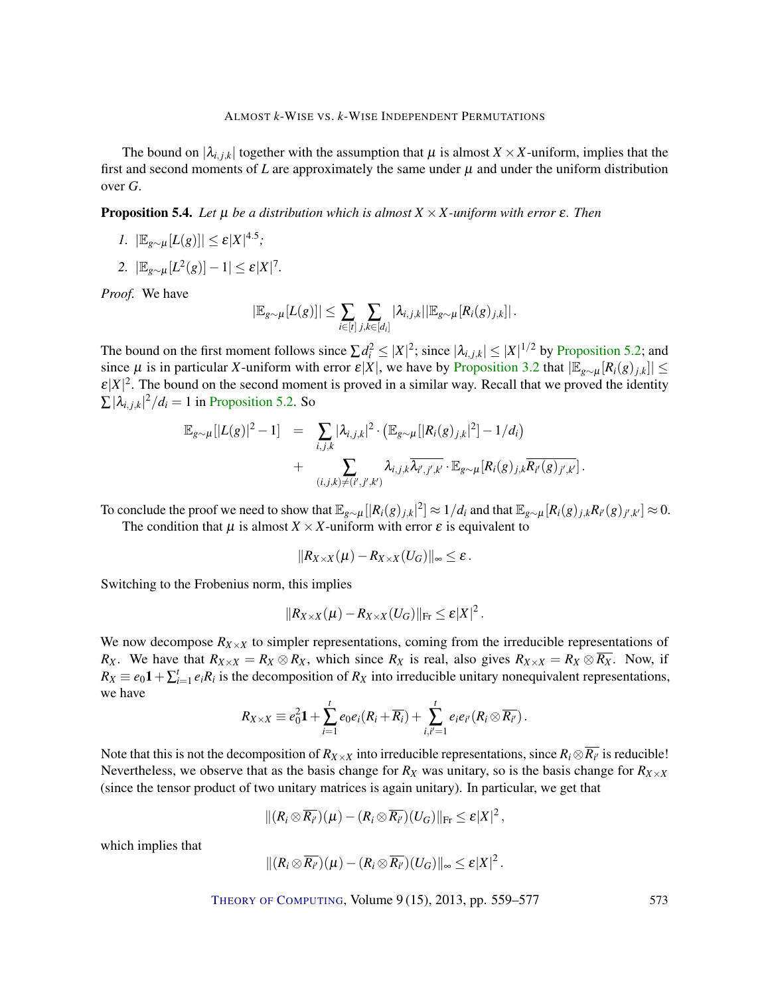The bound on  $|\lambda_{i,j,k}|$  together with the assumption that  $\mu$  is almost  $X \times X$ -uniform, implies that the first and second moments of  $L$  are approximately the same under  $\mu$  and under the uniform distribution over *G*.

<span id="page-14-0"></span>Proposition 5.4. *Let* µ *be a distribution which is almost X* ×*X -uniform with error* ε*. Then*

- *1.*  $|\mathbb{E}_{g \sim \mu}[L(g)]| \leq \varepsilon |X|^{4.5}$ ;
- 2.  $|\mathbb{E}_{g \sim \mu}[L^2(g)] 1| \leq \varepsilon |X|^7$ *.*

*Proof.* We have

$$
|\mathbb{E}_{g \sim \mu}[L(g)]| \leq \sum_{i \in [t]} \sum_{j,k \in [d_i]} |\lambda_{i,j,k}| |\mathbb{E}_{g \sim \mu}[R_i(g)_{j,k}]|.
$$

The bound on the first moment follows since  $\sum d_i^2 \le |X|^2$ ; since  $|\lambda_{i,j,k}| \le |X|^{1/2}$  by [Proposition](#page-13-0) [5.2;](#page-13-0) and since  $\mu$  is in particular *X*-uniform with error  $\mathcal{E}|X|$ , we have by [Proposition](#page-8-2) [3.2](#page-8-2) that  $|\mathbb{E}_{g \sim \mu}[R_i(g)_{i,k}]| \le$  $\epsilon|X|^2$ . The bound on the second moment is proved in a similar way. Recall that we proved the identity  $\sum |\lambda_{i,j,k}|^2 / d_i = 1$  in [Proposition](#page-13-0) [5.2.](#page-13-0) So

$$
\mathbb{E}_{g \sim \mu} [|L(g)|^2 - 1] = \sum_{i,j,k} |\lambda_{i,j,k}|^2 \cdot (\mathbb{E}_{g \sim \mu} [|R_i(g)_{j,k}|^2] - 1/d_i) + \sum_{(i,j,k) \neq (i',j',k')} \lambda_{i,j,k} \overline{\lambda_{i',j',k'}} \cdot \mathbb{E}_{g \sim \mu} [R_i(g)_{j,k} \overline{R_{i'}(g)_{j',k'}}].
$$

To conclude the proof we need to show that  $\mathbb{E}_{g\sim\mu}[|R_i(g)_{j,k}|^2] \approx 1/d_i$  and that  $\mathbb{E}_{g\sim\mu}[R_i(g)_{j,k}R_{i'}(g)_{j',k'}] \approx 0$ .

The condition that  $\mu$  is almost  $X \times X$ -uniform with error  $\varepsilon$  is equivalent to

$$
||R_{X\times X}(\mu)-R_{X\times X}(U_G)||_\infty\leq \varepsilon\,.
$$

Switching to the Frobenius norm, this implies

$$
||R_{X\times X}(\mu)-R_{X\times X}(U_G)||_{\text{Fr}}\leq \varepsilon |X|^2\,.
$$

We now decompose  $R_{X\times X}$  to simpler representations, coming from the irreducible representations of *R<sub>X</sub>*. We have that  $R_{X \times X} = R_X \otimes R_X$ , which since  $R_X$  is real, also gives  $R_{X \times X} = R_X \otimes \overline{R_X}$ . Now, if  $R_X \equiv e_0 \mathbf{1} + \sum_{i=1}^t e_i R_i$  is the decomposition of  $R_X$  into irreducible unitary nonequivalent representations, we have

$$
R_{X\times X}\equiv e_0^2\mathbf{1}+\sum_{i=1}^t e_0e_i(R_i+\overline{R_i})+\sum_{i,i'=1}^t e_ie_{i'}(R_i\otimes \overline{R_{i'}}).
$$

Note that this is not the decomposition of  $R_{X\times X}$  into irreducible representations, since  $R_i\otimes \overline{R_{i'}}$  is reducible! Nevertheless, we observe that as the basis change for  $R_X$  was unitary, so is the basis change for  $R_{X \times X}$ (since the tensor product of two unitary matrices is again unitary). In particular, we get that

$$
\|(R_i\otimes \overline{R_{i'}})(\mu)-(R_i\otimes \overline{R_{i'}})(U_G)\|_{\text{Fr}}\leq \varepsilon|X|^2\,,
$$

which implies that

$$
|| (R_i \otimes \overline{R_{i'}})(\mu) - (R_i \otimes \overline{R_{i'}})(U_G)||_{\infty} \leq \varepsilon |X|^2.
$$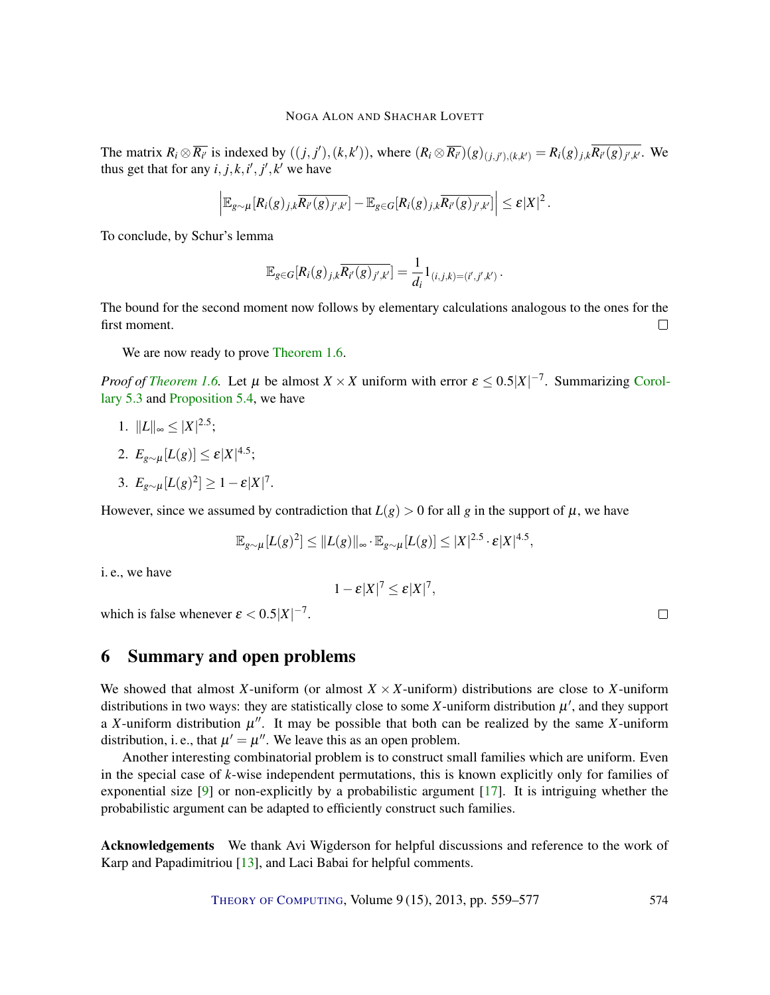<span id="page-15-1"></span>The matrix  $R_i \otimes \overline{R_{i'}}$  is indexed by  $((j, j'), (k, k'))$ , where  $(R_i \otimes \overline{R_{i'}})(g)_{(j, j'), (k, k')} = R_i(g)_{j,k} \overline{R_{i'}(g)_{j',k'}}$ . We thus get that for any  $i, j, k, i', j', k'$  we have

$$
\left|\mathbb{E}_{g\sim\mu}[R_i(g)_{j,k}\overline{R_{i'}(g)_{j',k'}}]-\mathbb{E}_{g\in G}[R_i(g)_{j,k}\overline{R_{i'}(g)_{j',k'}}]\right|\leq \varepsilon|X|^2.
$$

To conclude, by Schur's lemma

$$
\mathbb{E}_{g \in G}[R_i(g)_{j,k}\overline{R_{i'}(g)_{j',k'}}] = \frac{1}{d_i}1_{(i,j,k)=(i',j',k')}.
$$

The bound for the second moment now follows by elementary calculations analogous to the ones for the first moment.  $\Box$ 

We are now ready to prove [Theorem](#page-5-2) [1.6.](#page-5-2)

*Proof of [Theorem](#page-5-2) [1.6.](#page-5-2)* Let  $\mu$  be almost  $X \times X$  uniform with error  $\varepsilon \leq 0.5|X|^{-7}$ . Summarizing [Corol](#page-13-1)[lary](#page-13-1) [5.3](#page-13-1) and [Proposition](#page-14-0) [5.4,](#page-14-0) we have

1.  $||L||_{\infty} \leq |X|^{2.5};$ 

$$
2. E_{g \sim \mu}[L(g)] \leq \varepsilon |X|^{4.5};
$$

$$
3. E_{g \sim \mu}[L(g)^2] \ge 1 - \varepsilon |X|^7.
$$

However, since we assumed by contradiction that  $L(g) > 0$  for all *g* in the support of  $\mu$ , we have

$$
\mathbb{E}_{g\sim\mu}[L(g)^2] \leq \|L(g)\|_{\infty} \cdot \mathbb{E}_{g\sim\mu}[L(g)] \leq |X|^{2.5} \cdot \varepsilon |X|^{4.5},
$$

i. e., we have

$$
1-\varepsilon |X|^7 \leq \varepsilon |X|^7,
$$

which is false whenever  $\varepsilon < 0.5 |X|^{-7}$ .

## <span id="page-15-0"></span>6 Summary and open problems

We showed that almost *X*-uniform (or almost  $X \times X$ -uniform) distributions are close to *X*-uniform distributions in two ways: they are statistically close to some  $X$ -uniform distribution  $\mu'$ , and they support a *X*-uniform distribution  $\mu''$ . It may be possible that both can be realized by the same *X*-uniform distribution, i. e., that  $\mu' = \mu''$ . We leave this as an open problem.

Another interesting combinatorial problem is to construct small families which are uniform. Even in the special case of *k*-wise independent permutations, this is known explicitly only for families of exponential size [\[9\]](#page-16-2) or non-explicitly by a probabilistic argument [\[17\]](#page-17-2). It is intriguing whether the probabilistic argument can be adapted to efficiently construct such families.

Acknowledgements We thank Avi Wigderson for helpful discussions and reference to the work of Karp and Papadimitriou [\[13\]](#page-17-5), and Laci Babai for helpful comments.

THEORY OF C[OMPUTING](http://dx.doi.org/10.4086/toc), Volume 9 (15), 2013, pp. 559–577 574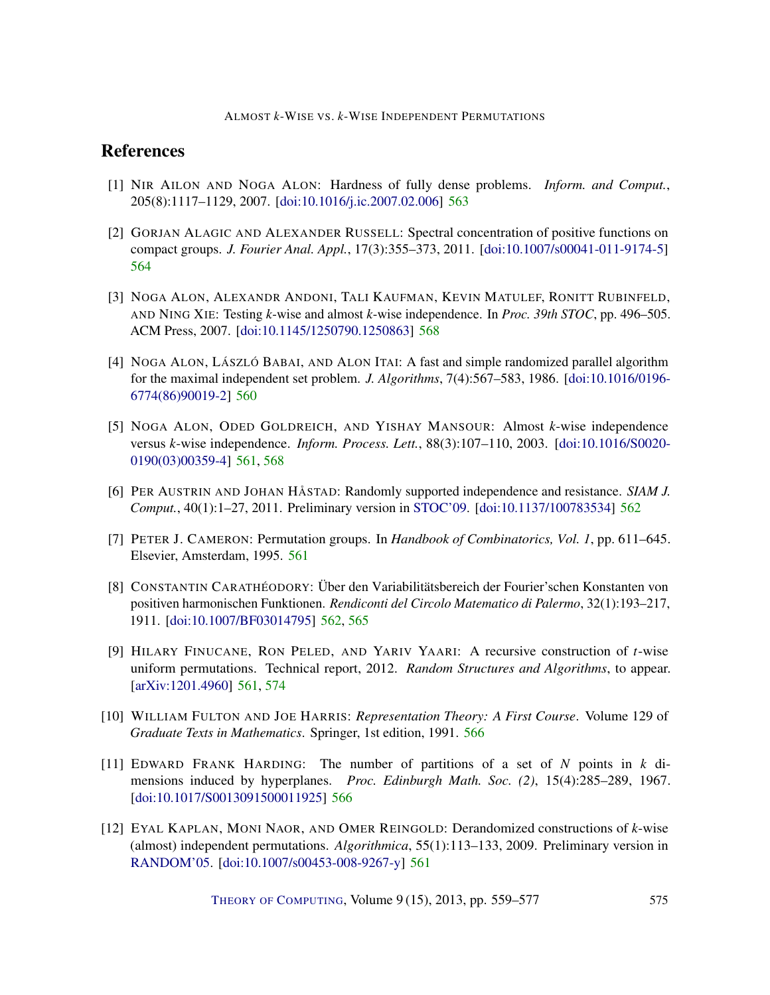## References

- <span id="page-16-7"></span>[1] NIR AILON AND NOGA ALON: Hardness of fully dense problems. *Inform. and Comput.*, 205(8):1117–1129, 2007. [\[doi:10.1016/j.ic.2007.02.006\]](http://dx.doi.org/10.1016/j.ic.2007.02.006) [563](#page-4-0)
- <span id="page-16-8"></span>[2] GORJAN ALAGIC AND ALEXANDER RUSSELL: Spectral concentration of positive functions on compact groups. *J. Fourier Anal. Appl.*, 17(3):355–373, 2011. [\[doi:10.1007/s00041-011-9174-5\]](http://dx.doi.org/10.1007/s00041-011-9174-5) [564](#page-5-3)
- <span id="page-16-11"></span>[3] NOGA ALON, ALEXANDR ANDONI, TALI KAUFMAN, KEVIN MATULEF, RONITT RUBINFELD, AND NING XIE: Testing *k*-wise and almost *k*-wise independence. In *Proc. 39th STOC*, pp. 496–505. ACM Press, 2007. [\[doi:10.1145/1250790.1250863\]](http://dx.doi.org/10.1145/1250790.1250863) [568](#page-9-2)
- <span id="page-16-0"></span>[4] NOGA ALON, LÁSZLÓ BABAI, AND ALON ITAI: A fast and simple randomized parallel algorithm for the maximal independent set problem. *J. Algorithms*, 7(4):567–583, 1986. [\[doi:10.1016/0196-](http://dx.doi.org/10.1016/0196-6774(86)90019-2) [6774\(86\)90019-2\]](http://dx.doi.org/10.1016/0196-6774(86)90019-2) [560](#page-1-0)
- <span id="page-16-4"></span>[5] NOGA ALON, ODED GOLDREICH, AND YISHAY MANSOUR: Almost *k*-wise independence versus *k*-wise independence. *Inform. Process. Lett.*, 88(3):107–110, 2003. [\[doi:10.1016/S0020-](http://dx.doi.org/10.1016/S0020-0190(03)00359-4) [0190\(03\)00359-4\]](http://dx.doi.org/10.1016/S0020-0190(03)00359-4) [561,](#page-2-1) [568](#page-9-2)
- <span id="page-16-6"></span>[6] PER AUSTRIN AND JOHAN HÅSTAD: Randomly supported independence and resistance. *SIAM J. Comput.*, 40(1):1–27, 2011. Preliminary version in [STOC'09.](http://dx.doi.org/10.1145/1536414.1536481) [\[doi:10.1137/100783534\]](http://dx.doi.org/10.1137/100783534) [562](#page-3-2)
- <span id="page-16-1"></span>[7] PETER J. CAMERON: Permutation groups. In *Handbook of Combinatorics, Vol. 1*, pp. 611–645. Elsevier, Amsterdam, 1995. [561](#page-2-1)
- <span id="page-16-5"></span>[8] CONSTANTIN CARATHÉODORY: Über den Variabilitätsbereich der Fourier'schen Konstanten von positiven harmonischen Funktionen. *Rendiconti del Circolo Matematico di Palermo*, 32(1):193–217, 1911. [\[doi:10.1007/BF03014795\]](http://dx.doi.org/10.1007/BF03014795) [562,](#page-3-2) [565](#page-6-1)
- <span id="page-16-2"></span>[9] HILARY FINUCANE, RON PELED, AND YARIV YAARI: A recursive construction of *t*-wise uniform permutations. Technical report, 2012. *Random Structures and Algorithms*, to appear. [\[arXiv:1201.4960\]](http://arxiv.org/abs/1201.4960) [561,](#page-2-1) [574](#page-15-1)
- <span id="page-16-10"></span>[10] WILLIAM FULTON AND JOE HARRIS: *Representation Theory: A First Course*. Volume 129 of *Graduate Texts in Mathematics*. Springer, 1st edition, 1991. [566](#page-7-1)
- <span id="page-16-9"></span>[11] EDWARD FRANK HARDING: The number of partitions of a set of *N* points in *k* dimensions induced by hyperplanes. *Proc. Edinburgh Math. Soc. (2)*, 15(4):285–289, 1967. [\[doi:10.1017/S0013091500011925\]](http://dx.doi.org/10.1017/S0013091500011925) [566](#page-7-1)
- <span id="page-16-3"></span>[12] EYAL KAPLAN, MONI NAOR, AND OMER REINGOLD: Derandomized constructions of *k*-wise (almost) independent permutations. *Algorithmica*, 55(1):113–133, 2009. Preliminary version in [RANDOM'05.](http://dx.doi.org/10.1007/11538462_30) [\[doi:10.1007/s00453-008-9267-y\]](http://dx.doi.org/10.1007/s00453-008-9267-y) [561](#page-2-1)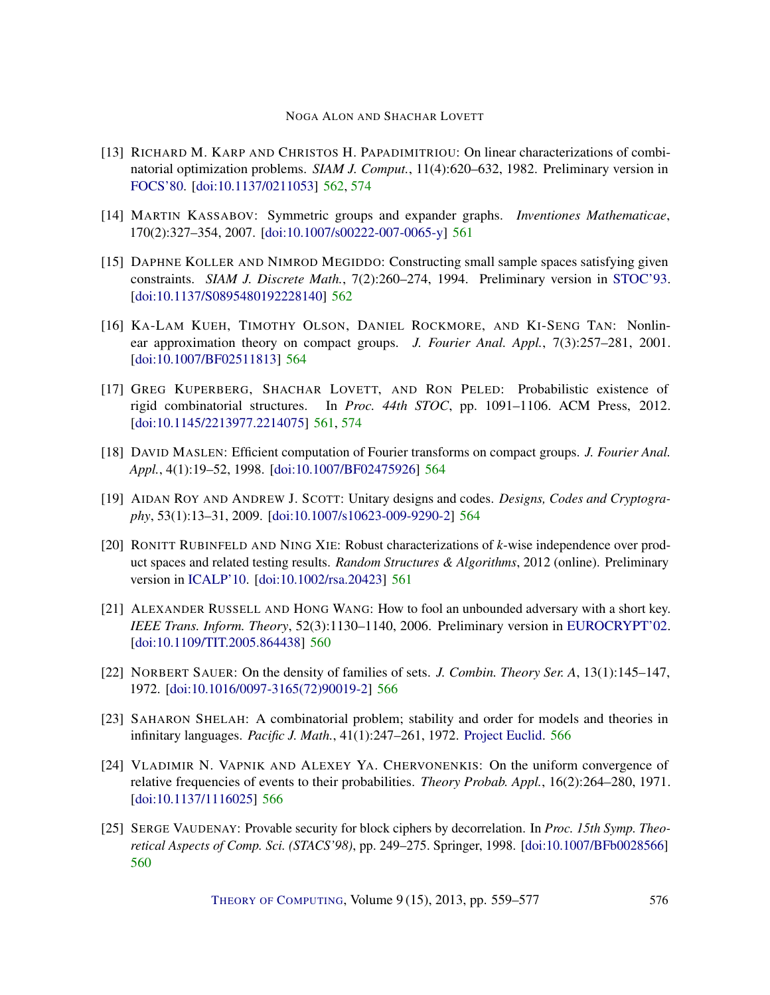- <span id="page-17-5"></span>[13] RICHARD M. KARP AND CHRISTOS H. PAPADIMITRIOU: On linear characterizations of combinatorial optimization problems. *SIAM J. Comput.*, 11(4):620–632, 1982. Preliminary version in [FOCS'80.](http://dx.doi.org/10.1109/SFCS.1980.29) [\[doi:10.1137/0211053\]](http://dx.doi.org/10.1137/0211053) [562,](#page-3-2) [574](#page-15-1)
- <span id="page-17-3"></span>[14] MARTIN KASSABOV: Symmetric groups and expander graphs. *Inventiones Mathematicae*, 170(2):327–354, 2007. [\[doi:10.1007/s00222-007-0065-y\]](http://dx.doi.org/10.1007/s00222-007-0065-y) [561](#page-2-1)
- <span id="page-17-6"></span>[15] DAPHNE KOLLER AND NIMROD MEGIDDO: Constructing small sample spaces satisfying given constraints. *SIAM J. Discrete Math.*, 7(2):260–274, 1994. Preliminary version in [STOC'93.](http://dx.doi.org/10.1145/167088.167168) [\[doi:10.1137/S0895480192228140\]](http://dx.doi.org/10.1137/S0895480192228140) [562](#page-3-2)
- <span id="page-17-7"></span>[16] KA-LAM KUEH, TIMOTHY OLSON, DANIEL ROCKMORE, AND KI-SENG TAN: Nonlinear approximation theory on compact groups. *J. Fourier Anal. Appl.*, 7(3):257–281, 2001. [\[doi:10.1007/BF02511813\]](http://dx.doi.org/10.1007/BF02511813) [564](#page-5-3)
- <span id="page-17-2"></span>[17] GREG KUPERBERG, SHACHAR LOVETT, AND RON PELED: Probabilistic existence of rigid combinatorial structures. In *Proc. 44th STOC*, pp. 1091–1106. ACM Press, 2012. [\[doi:10.1145/2213977.2214075\]](http://dx.doi.org/10.1145/2213977.2214075) [561,](#page-2-1) [574](#page-15-1)
- <span id="page-17-8"></span>[18] DAVID MASLEN: Efficient computation of Fourier transforms on compact groups. *J. Fourier Anal. Appl.*, 4(1):19–52, 1998. [\[doi:10.1007/BF02475926\]](http://dx.doi.org/10.1007/BF02475926) [564](#page-5-3)
- <span id="page-17-9"></span>[19] AIDAN ROY AND ANDREW J. SCOTT: Unitary designs and codes. *Designs, Codes and Cryptography*, 53(1):13–31, 2009. [\[doi:10.1007/s10623-009-9290-2\]](http://dx.doi.org/10.1007/s10623-009-9290-2) [564](#page-5-3)
- <span id="page-17-4"></span>[20] RONITT RUBINFELD AND NING XIE: Robust characterizations of *k*-wise independence over product spaces and related testing results. *Random Structures & Algorithms*, 2012 (online). Preliminary version in [ICALP'10.](http://dx.doi.org/10.1007/978-3-642-14165-2_48) [\[doi:10.1002/rsa.20423\]](http://dx.doi.org/10.1002/rsa.20423) [561](#page-2-1)
- <span id="page-17-0"></span>[21] ALEXANDER RUSSELL AND HONG WANG: How to fool an unbounded adversary with a short key. *IEEE Trans. Inform. Theory*, 52(3):1130–1140, 2006. Preliminary version in [EUROCRYPT'02.](http://dx.doi.org/10.1007/3-540-46035-7_9) [\[doi:10.1109/TIT.2005.864438\]](http://dx.doi.org/10.1109/TIT.2005.864438) [560](#page-1-0)
- <span id="page-17-11"></span>[22] NORBERT SAUER: On the density of families of sets. *J. Combin. Theory Ser. A*, 13(1):145–147, 1972. [\[doi:10.1016/0097-3165\(72\)90019-2\]](http://dx.doi.org/10.1016/0097-3165(72)90019-2) [566](#page-7-1)
- <span id="page-17-12"></span>[23] SAHARON SHELAH: A combinatorial problem; stability and order for models and theories in infinitary languages. *Pacific J. Math.*, 41(1):247–261, 1972. [Project Euclid.](http://projecteuclid.org/euclid.pjm/1102968432) [566](#page-7-1)
- <span id="page-17-10"></span>[24] VLADIMIR N. VAPNIK AND ALEXEY YA. CHERVONENKIS: On the uniform convergence of relative frequencies of events to their probabilities. *Theory Probab. Appl.*, 16(2):264–280, 1971. [\[doi:10.1137/1116025\]](http://dx.doi.org/10.1137/1116025) [566](#page-7-1)
- <span id="page-17-1"></span>[25] SERGE VAUDENAY: Provable security for block ciphers by decorrelation. In *Proc. 15th Symp. Theoretical Aspects of Comp. Sci. (STACS'98)*, pp. 249–275. Springer, 1998. [\[doi:10.1007/BFb0028566\]](http://dx.doi.org/10.1007/BFb0028566) [560](#page-1-0)